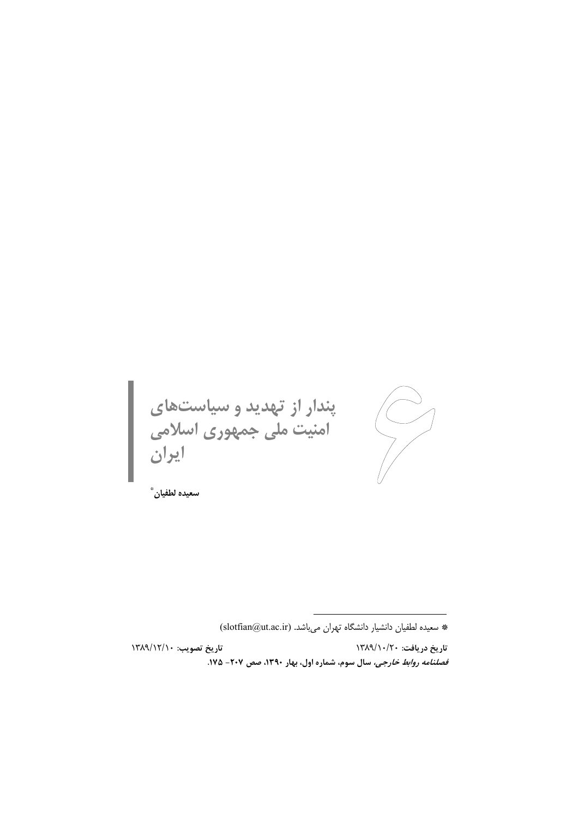پندار از تهدید و سیاستهای<br>امنیت ملی جمهوری اسلامی<br>ایران  $\bigvee$ 

سعيده لطفيان ٌ

تاريخ تصويب: ١٣٨٩/١٢/١ تاريخ دريافت: ١٣٨٩/١٠/٢٠ قصلنامه روابط خارجی، سال سوم، شماره اول، بهار ۱۳۹۰، صص ۲۰۷- ۱۷۵.

<sup>\*</sup> سعیده لطفیان دانشیار دانشگاه تهران میباشد. (slotfian@ut.ac.ir)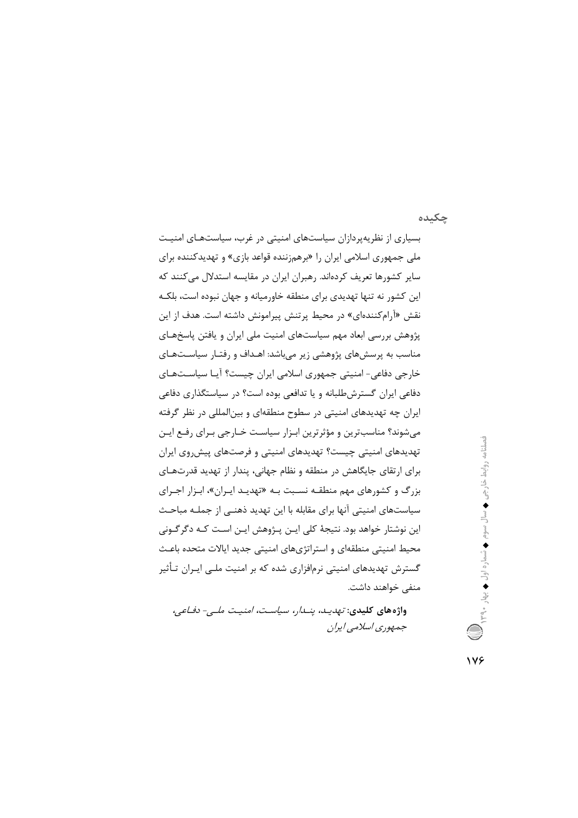چکیده

بسیاری از نظریهپردازان سیاستهای امنیتی در غرب، سیاستهای امنیت ملي جمهوري اسلامي ايران را «برهمزننده قواعد بازي» و تهديدكننده براي سایر کشورها تعریف کردهاند. رهبران ایران در مقایسه استدلال میکنند که این کشور نه تنها تهدیدی برای منطقه خاورمیانه و جهان نبوده است، بلکـه نقش «آرامکنندهای» در محیط پرتنش پیرامونش داشته است. هدف از این پژوهش بررسی ابعاد مهم سیاستهای امنیت ملی ایران و یافتن پاسخهـای مناسب به پرسشهای پژوهشی زیر میباشد: اهـداف و رفتـار سیاسـتهـای خارجی دفاعی- امنیتی جمهوری اسلامی ایران چیست؟ آیـا سیاسـتهـای دفاعی ایران گسترشطلبانه و یا تدافعی بوده است؟ در سیاستگذاری دفاعی ایران چه تهدیدهای امنیتی در سطوح منطقهای و بینالمللی در نظر گرفته مي شوند؟ مناسب ترين و مؤثر ترين ابـزار سياسـت خــارجي بـراي رفـع ايـن تهدیدهای امنیتی چیست؟ تهدیدهای امنیتی و فرصتهای پیش وی ایران برای ارتقای جایگاهش در منطقه و نظام جهانی، پندار از تهدید قدرتهای بزرگ و کشورهای مهم منطقـه نسـبت بـه «تهدیـد ایـران»، ابـزار اجـرای سیاستهای امنیتی آنها برای مقابله با این تهدید ذهنـی از جملـه مباحـث این نوشتار خواهد بود. نتیجهٔ کلی ایـن پـژوهش ایـن اسـت کـه دگرگـونی محیط امنیتی منطقهای و استراتژیهای امنیتی جدید ایالات متحده باعث گسترش تهدیدهای امنیتی نرمافزاری شده که بر امنیت ملـی ایـران تـأثیر منفی خواهند داشت.

واژەھاي كليدى: *تھديىد، ينىدان سياست، امنيت ملي- دفياعي،* جمهوري اسلامي ايران فصلناهه روابط خارجی ♦ سال سوم ♦ شماره اول ♦ بهار ٣٩.٠ ﴾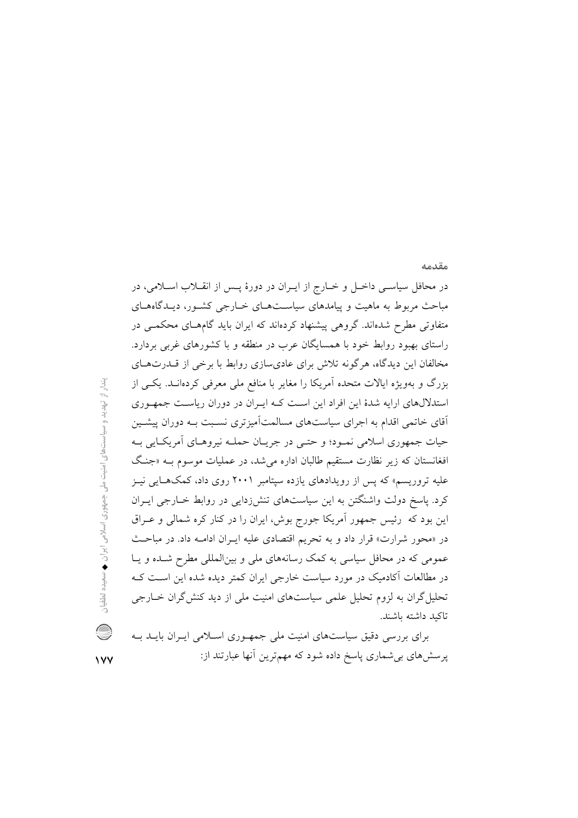در محافل سیاسـی داخـل و خـارج از ایـران در دورهٔ پـس از انقــلاب اسـلامی، در مباحث مربوط به ماهیت و پیامدهای سیاسـتهـای خـارجی کشـور، دیـدگاههـای متفاوتی مطرح شدهاند. گروهی پیشنهاد کردهاند که ایران باید گامهـای محکمـی در راستای بهبود روابط خود با همسایگان عرب در منطقه و با کشورهای غربی بردارد. مخالفان این دیدگاه، هرگونه تلاش برای عادیسازی روابط با برخی از قــدرتهـای بزرگ و بهویژه ایالات متحده آمریکا را مغایر با منافع ملی معرفی کردهانـد. یکـی از استدلالهای ارایه شدهٔ این افراد این است که ایران در دوران ریاست جمهوری آقای خاتمی اقدام به اجرای سیاستهای مسالمتآمیزتری نسـبت بــه دوران پیشــین حیات جمهوری اسلامی نمـود؛ و حتـی در جریــان حملــه نیروهــای آمریکــایی بــه افغانستان که زیر نظارت مستقیم طالبان اداره می شد، در عملیات موسوم بـه «جنگ علیه تروریسم» که پس از رویدادهای یازده سپتامبر ۲۰۰۱ روی داد، کمکهـایی نیـز کرد. پاسخ دولت واشنگتن به این سیاستهای تنش(دایی در روابط خـارجی ایـران این بود که رئیس جمهور آمریکا جورج بوش، ایران را در کنار کره شمالی و عـراق در «محور شرارت» قرار داد و به تحریم اقتصادی علیه ایـران ادامـه داد. در مباحـث عمومی که در محافل سیاسی به کمک رسانههای ملی و بینالمللی مطرح شده و یا در مطالعات آکادمیک در مورد سیاست خارجی ایران کمتر دیده شده این است ک تحلیل گران به لزوم تحلیل علمی سیاستهای امنیت ملی از دید کنش گران خـارجی تاكيد داشته باشند.

برای بررسی دقیق سیاستهای امنیت ملی جمهوری اسلامی ایـران بایـد بـه پرسشهای بی شماری پاسخ داده شود که مهمترین آنها عبارتند از:

مقدمه

 $\vee$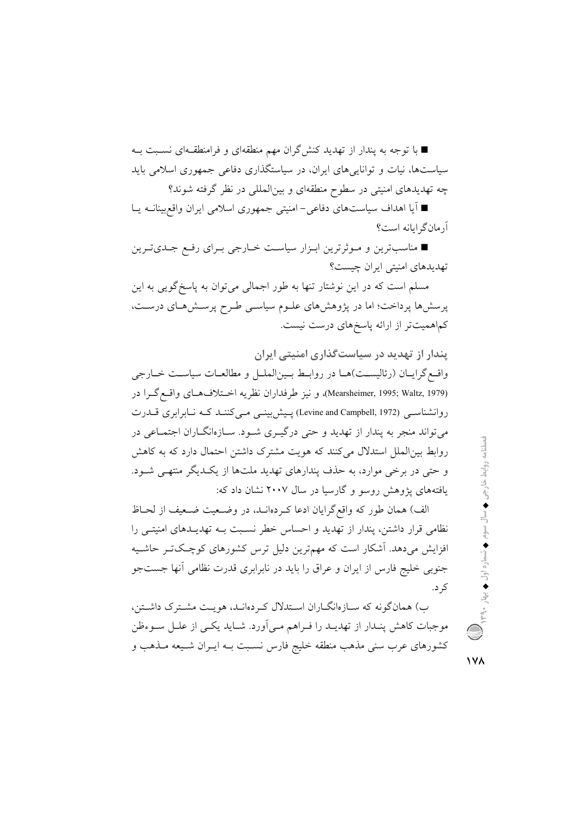■ با توجه به پندار از تهدید کنش گران مهم منطقهای و فرامنطقـهای نسـبت بـه سیاستها، نیات و تواناییهای ایران، در سیاستگذاری دفاعی جمهوری اسلامی باید چه تهدیدهای امنیتی در سطوح منطقهای و بینالمللی در نظر گرفته شوند؟

■ آیا اهداف سیاستهای دفاعی− امنیتی جمهوری اسلامی ایران واقع بینانــه یــا آرمان گرایانه است؟

■ مناسبترین و مـوثرترین ابـزار سیاسـت خـارجی بـرای رفـع جـدیترین تهدیدهای امنیتی ایران چیست؟

مسلم است که در این نوشتار تنها به طور اجمالی میتوان به پاسخگویی به این پرسشها پرداخت؛ اما در پژوهشهای علـوم سیاسـی طـرح پرسـشهـای درسـت، کماهمیتتر از ارائه پاسخهای درست نیست.

پندار از تهدید در سیاست *گ*ذاری امنیتی ایران واقع گرایـان (رئالیسـت)هـا در روابـط بـین|لملـل و مطالعـات سیاسـت خـارجى (Mearsheimer, 1995; Waltz, 1979)، و نيز طرفداران نظريه اختلافهاي واقع گـرا در روانشناسـی (Levine and Campbell, 1972) پـیش بینـی مـی کننـد کـه نـابرابری قـدرت میتواند منجر به پندار از تهدید و حتی درگیـری شـود. سـازهانگــاران اجتمــاعی در روابط بین|لملل استدلال می کنند که هویت مشترک داشتن احتمال دارد که به کاهش و حتی در برخی موارد، به حذف پندارهای تهدید ملتها از یک دیگر منتهی شود. یافتههای پژوهش روسو و گارسیا در سال ۲۰۰۷ نشان داد که:

الف) همان طور كه واقع گرايان ادعا كـردهانـد، در وضـعيت ضـعيف از لحـاظ نظامی قرار داشتن، پندار از تهدید و احساس خطر نسـبت بــه تهدیــدهای امنیتــی را افزایش میدهد. آشکار است که مهمترین دلیل ترس کشورهای کوچکتر حاشـیه جنوبی خلیج فارس از ایران و عراق را باید در نابرابری قدرت نظامی آنها جستجو کر د.

ب) همانگونه که سـازهانگـاران اسـتدلال کـردهانـد، هويـت مشـترک داشـتن، موجبات کاهش پنـدار از تهديـد را فـراهم مـي|َورد. شـايد يکـي از علـل سـوءظن کشورهای عرب سنی مذهب منطقه خلیج فارس نسـبت بــه ایــران شــیعه مــذهب و فصلنامه روابط خارجی ♦ سال سوم ♦ شماره اول ♦ بهار ۳۹۰ ، ۹۳۹

 $\sqrt{}$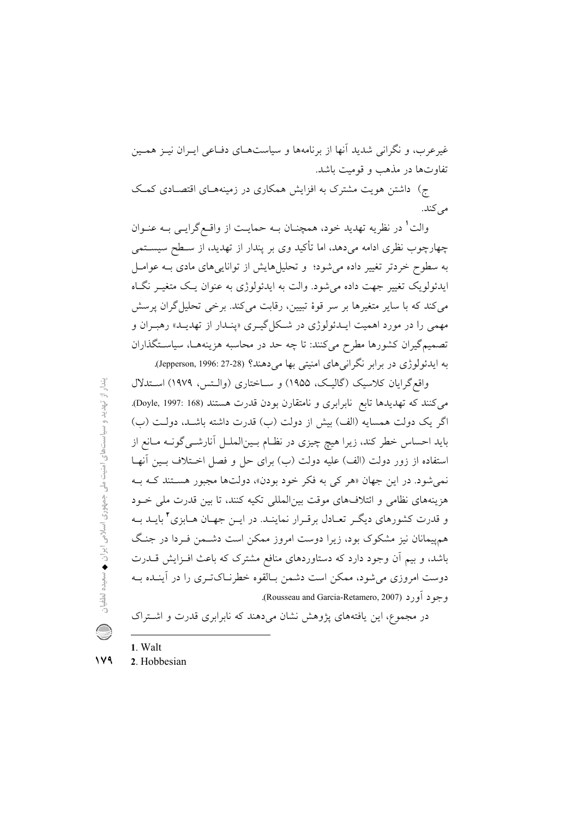غیرعرب، و نگرانی شدید آنها از برنامهها و سیاستهای دفـاعی ایـران نیـز همـین تفاوتها در مذهب و قومیت باشد.

ج) داشتن هویت مشترک به افزایش همکاری در زمینههـای اقتصـادی کمـک مر كند.

والت' در نظریه تهدید خود، همچنــان بــه حمایــت از واقــع گرایــی بــه عنــوان چهارچوب نظری ادامه میدهد، اما تأکید وی بر پندار از تهدید، از سـطح سیســتمی به سطوح خردتر تغییر داده می شود؛ و تحلیل هایش از توانایی های مادی بـه عوامـل ایدئولویک تغییر جهت داده می شود. والت به ایدئولوژی به عنوان یک متغیـر نگـاه می کند که با سایر متغیرها بر سر قوهٔ تبیین، رقابت می کند. برخی تحلیل گران پرسش مهمی را در مورد اهمیت ایــدئولوژی در شــکل گیــری «پنــدار از تهدیــد» رهبــران و تصمیمگیران کشورها مطرح می کنند: تا چه حد در محاسبه هزینههـا، سیاسـتگذاران به ایدئولوژی در برابر نگرانیهای امنیتی بها میدهند؟ (Jepperson, 1996: 27-28).

واقع گرایان کلاسیک (گالیک، ۱۹۵۵) و سـاختاری (والـتس، ۱۹۷۹) اسـتدلال میکنند که تهدیدها تابع نابرابری و نامتقارن بودن قدرت هستند (Doyle, 1997: 168). اگر یک دولت همسایه (الف) بیش از دولت (ب) قدرت داشته باشـد. دولـت (ب) باید احساس خطر کند، زیرا هیچ چیزی در نظـام بـین|لملـل آنارشــیگونــه مــانع از استفاده از زور دولت (الف) عليه دولت (ب) براي حل و فصل اخــتلاف بــين أنهــا نمی شود. در این جهان «هر کی به فکر خود بودن»، دولتها مجبور هستند کـه بـه هزینههای نظامی و ائتلافهای موقت بینالمللی تکیه کنند، تا بین قدرت ملی خـود و قدرت کشورهای دیگـر تعـادل برقـرار نماینـد. در ایـن جهـان هـابزی <sup>۲</sup> بایـد بـه همهیمانان نیز مشکوک بود، زیرا دوست امروز ممکن است دشـمن فـردا در جنـگ باشد، و بیم آن وجود دارد که دستاوردهای منافع مشترک که باعث افـزایش قــدرت دوست امروزی می شود، ممکن است دشمن بـالقوه خطرنـاکتـری را در آینـده بـه وجود أورد (Rousseau and Garcia-Retamero, 2007).

در مجموع، این یافتههای پژوهش نشان میدهند که نابرابری قدرت و اشتراک

- $1$  Walt
- $149$ 2. Hobbesian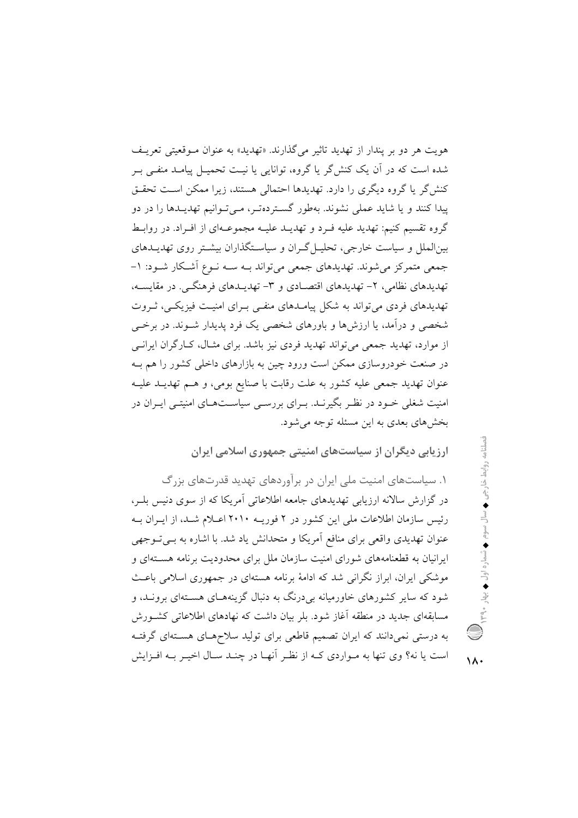هويت هر دو بر پندار از تهديد تاثير مي گذارند. «تهديد» به عنوان مـوقعيتي تعريـف شده است که در آن یک کنش گر یا گروه، توانایی یا نیـت تحمیـل پیامـد منفـی بـر کنش گر یا گروه دیگری را دارد. تهدیدها احتمالی هستند، زیرا ممکن است تحقـق ییدا کنند و یا شاید عملی نشوند. بهطور گستردهتـر، مـیتوانیم تهدیـدها را در دو گروه تقسیم کنیم: تهدید علیه فـرد و تهدیــد علیــه مجموعــهای از افـراد. در روابــط بین الملل و سیاست خارجی، تحلیـل گـران و سیاسـتگذاران بیشـتر روی تهدیـدهای جمعی متمرکز میشوند. تهدیدهای جمعی میتواند بـه سـه نـوع اَشـکار شـود: ۱-تهدیدهای نظامی، ۲- تهدیدهای اقتصادی و ۳- تهدیـدهای فرهنگـی. در مقایســه، تهدیدهای فردی می تواند به شکل پیامـدهای منفـی بـرای امنیـت فیزیکـی، ثـروت شخصی و درآمد، یا ارزش ها و باورهای شخصی یک فرد پدیدار شــوند. در برخــی از موارد، تهدید جمعی می تواند تهدید فردی نیز باشد. برای مثـال، کـارگران ایرانـی در صنعت خودروسازی ممکن است ورود چین به بازارهای داخلی کشور را هم بـه عنوان تهديد جمعي عليه كشور به علت رقابت با صنايع بومي، و هـم تهديـد عليـه امنیت شغلی خــود در نظــر بگیرنــد. بــرای بررســی سیاســتهــای امنیتــی ایــران در بخش های بعدی به این مسئله توجه می شود.

ارزیابی دیگران از سیاستهای امنیتی جمهوری اسلامی ایران

۱. سیاستهای امنیت ملی ایران در برآوردهای تهدید قدرتهای بزرگ در گزارش سالانه ارزیابی تهدیدهای جامعه اطلاعاتی آمریکا که از سوی دنیس بلـر، رئیس سازمان اطلاعات ملی این کشور در ۲ فوریـه ۲۰۱۰ اعـلام شـد، از ایـران بـه عنوان تهدیدی واقعی برای منافع آمریکا و متحدانش یاد شد. با اشاره به بـی تـوجهی ایرانیان به قطعنامههای شورای امنیت سازمان ملل برای محدودیت برنامه هستهای و موشکی ایران، ابراز نگرانی شد که ادامهٔ برنامه هستهای در جمهوری اسلامی باعث شود که سایر کشورهای خاورمیانه بی درنگ به دنبال گزینههـای هسـتهای برونـد، و مسابقهای جدید در منطقه آغاز شود. بلر بیان داشت که نهادهای اطلاعاتی کشـورش به درستی نمیدانند که ایران تصمیم قاطعی برای تولید سلاحهـای هســتهای گرفتــه است یا نه؟ وی تنها به مـواردی کـه از نظـر أنهـا در چنـد سـال اخیـر بـه افـزایش

 $\lambda$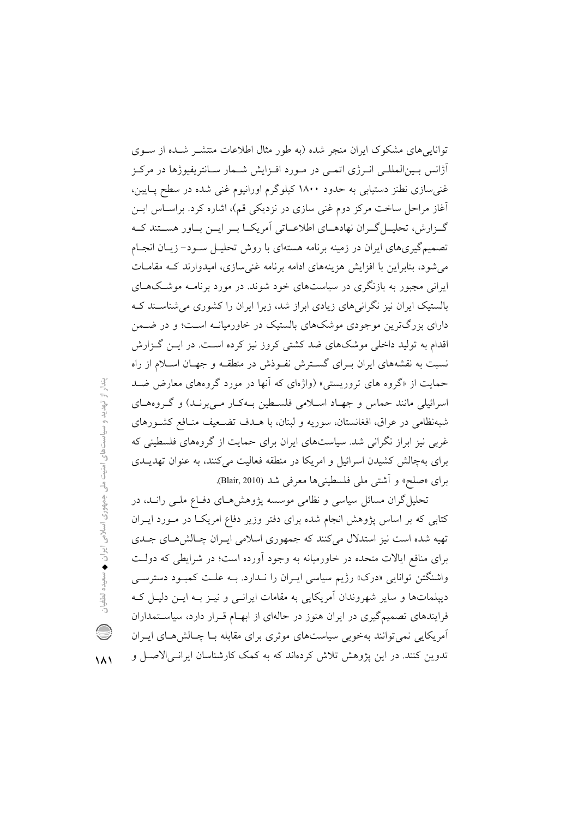تواناییهای مشکوک ایران منجر شده (به طور مثال اطلاعات منتشـر شـده از سـوی آژانس بـین|لمللـی انـرژی اتمـی در مـورد افـزایش شـمار سـانتریفیوژها در مرکـز غنی سازی نطنز دستیابی به حدود ۱۸۰۰ کیلوگرم اورانیوم غنی شده در سطح پـایین، آغاز مراحل ساخت مرکز دوم غنی سازی در نزدیکی قم)، اشاره کرد. براسـاس ایــن گےزارش، تحلیــل گــران نهادهـــای اطلاعـــاتی آمریکــا بــر ایــن بــاور هســـتند کــه تصمیمگیریهای ایران در زمینه برنامه هستهای با روش تحلیـل سـود- زیـان انجـام می شود، بنابراین با افزایش هزینههای ادامه برنامه غنی سازی، امیدوارند کـه مقامــات ایرانی مجبور به بازنگری در سیاستهای خود شوند. در مورد برنامـه موشـکهـای بالستیک ایران نیز نگرانی های زیادی ابراز شد، زیرا ایران را کشوری می شناسـند کـه دارای بزرگترین موجودی موشکهای بالستیک در خاورمیانـه اسـت؛ و در ضـمن اقدام به تولید داخلی موشکهای ضد کشتی کروز نیز کرده است. در ایــن گــزارش نسبت به نقشههای ایران بـرای گسـترش نفـوذش در منطقـه و جهـان اسـلام از راه حمایت از «گروه های تروریستی» (واژهای که آنها در مورد گروههای معارض ضـد اسرائیلی مانند حماس و جهـاد اسـلامی فلسـطین بـهکـار مـیبرنـد) و گـروههـای شبهنظامی در عراق، افغانستان، سوریه و لبنان، با هــدف تضــعیف منــافع کشــورهای غربی نیز ابراز نگرانی شد. سیاستهای ایران برای حمایت از گروههای فلسطینی که برای بهچالش کشیدن اسرائیل و امریکا در منطقه فعالیت میکنند، به عنوان تهدیــدی براي «صلح» و أشتى ملى فلسطيني ها معرفي شد (Blair, 2010).

تحلیل گران مسائل سیاسی و نظامی موسسه پژوهشهای دفـاع ملـی رانـد، در کتابی که بر اساس پژوهش انجام شده برای دفتر وزیر دفاع امریکا در مـورد ایـران تهیه شده است نیز استدلال میکنند که جمهوری اسلامی ایـران چـالش هـای جـدی برای منافع ایالات متحده در خاورمیانه به وجود آورده است؛ در شرایطی که دولت واشنگتن توانایی «درک» رژیم سیاسی ایـران را نـدارد. بـه علـت کمبـود دسترسـی دیپلماتها و سایر شهروندان آمریکایی به مقامات ایرانسی و نیـز بـه ایـن دلیـل کـه فرایندهای تصمیمگیری در ایران هنوز در حالهای از ابهـام قـرار دارد، سیاسـتمداران آمریکایی نمی توانند بهخوبی سیاستهای موثری برای مقابله بـا چـالش هـای ایـران تدوین کنند. در این پژوهش تلاش کردهاند که به کمک کارشناسان ایرانـی|لاصـل و

 $\lambda$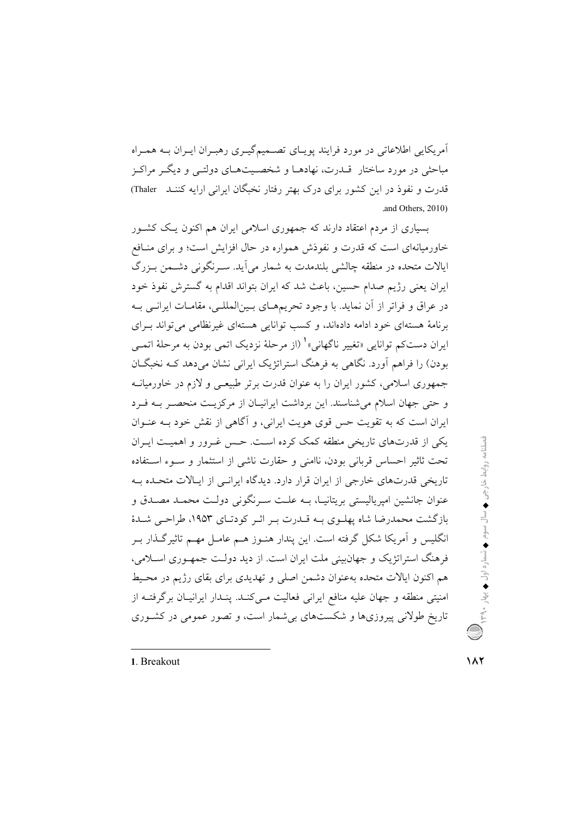آمریکایی اطلاعاتی در مورد فرایند پویـای تصــمیمگیـری رهبـران ایـران بــه همـراه مباحثی در مورد ساختار قبدرت، نهادهبا و شخصیتهبای دولتبی و دیگ مراکنز قدرت و نفوذ در این کشور برای درک بهتر رفتار نخبگان ایرانی ارایه کننـد Thaler) .and Others, 2010)

بسیاری از مردم اعتقاد دارند که جمهوری اسلامی ایران هم اکنون یـک کشـور خاورمیانهای است که قدرت و نفوذش همواره در حال افزایش است؛ و برای منافع ایالات متحده در منطقه چالشی بلندمدت به شمار می آید. سـرنگونی دشـمن بـزرگ ایران یعنی رژیم صدام حسین، باعث شد که ایران بتواند اقدام به گسترش نفوذ خود در عراق و فراتر از أن نمايد. با وجود تحريمهـاي بـين|لمللـي، مقامـات ايرانـي بــه برنامهٔ هستهای خود ادامه دادهاند، و کسب توانایی هستهای غیرنظامی می تواند بهرای ايران دستکم توانايي «تغيير ناگهاني»' (از مرحلهٔ نزديک اتمي بودن به مرحلهٔ اتمـي بودن) را فراهم آورد. نگاهی به فرهنگ استراتژیک ایرانی نشان میدهد کـه نخبگــان جمهوری اسلامی، کشور ایران را به عنوان قدرت برتر طبیعـی و لازم در خاورمیانــه و حتی جهان اسلام می شناسند. این بر داشت ایرانیـان از مرکزیـت منحصـر بـه فـرد ایران است که به تقویت حس قوی هویت ایرانی، و آگاهی از نقش خود بـه عنــوان یکی از قدرتهای تاریخی منطقه کمک کرده است. حس غـرور و اهمیـت ایــران تحت ثاثیر احساس قربانی بودن، ناامنی و حقارت ناشی از استثمار و سـوء اسـتفاده تاریخی قدرتهای خارجی از ایران قرار دارد. دیدگاه ایرانـی از ایـالات متحـده بـه عنوان جانشین امیرپالیستی بریتانیـا، بــه علــت ســرنگونی دولــت محمــد مصــدق و بازگشت محمدرضا شاه پهلـوی بـه قـدرت بـر اثـر کودتـای ۱۹۵۳، طراحـی شـدهٔ انگلیس و اَمریکا شکل گرفته است. این پندار هنـوز هــم عامـل مهــم تاثیر گــذار بــر فرهنگ استراتژیک و جهان بنی ملت ایران است. از دید دولت جمهوری اسپلامی، هم اکنون ایالات متحده بهعنوان دشمن اصلی و تهدیدی برای بقای رژیم در محیط امنیتی منطقه و جهان علیه منافع ایرانی فعالیت مـیکنـد. پنـدار ایرانیـان برگرفتـه از تاریخ طولانی پیروزیها و شکستهای بی شمار است، و تصور عمومی در کشوری

1. Breakout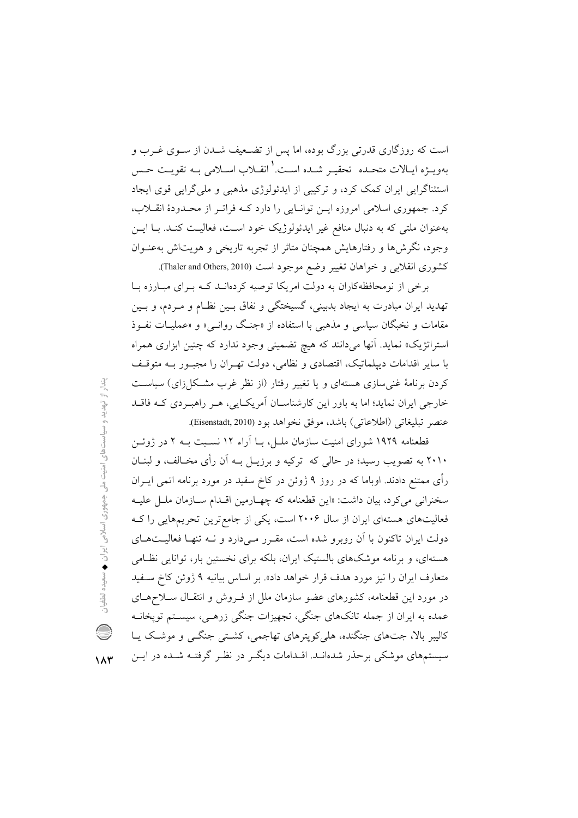است که روزگاری قدرتی بزرگ بوده، اما پس از تضعیف شـدن از ســوی غــرب و بهويــــزه ايــالات متحــده تحقيــر شــده اســت.' انقـــلاب اســلامي بــه تقويــت حــس استثناگرایی ایران کمک کرد، و ترکیبی از ایدئولوژی مذهبی و ملی گرایی قوی ایجاد کرد. جمهوری اسلامی امروزه ایـن توانـایی را دارد کـه فراتـر از محـدودهٔ انقــلاب، بهعنوان ملتي كه به دنبال منافع غير ايدئولوژيك خود است، فعاليت كنـد. بـا ايــن وجود، نگرشها و رفتارهایش همچنان متاثر از تجربه تاریخی و هویتاش به عنوان كشورى انقلابي و خواهان تغيير وضع موجود است (Thaler and Others, 2010).

برخی از نومحافظهکاران به دولت امریکا توصیه کردهانـد کـه بـرای مبـارزه بـا تهدید ایران مبادرت به ایجاد بدبینی، گسیختگی و نفاق بـین نظـام و مـردم، و بـین مقامات و نخبگان سیاسی و مذهبی با استفاده از «جنگ روانبی» و «عملیـات نفـوذ استراتژیک» نماید. آنها میدانند که هیچ تضمینی وجود ندارد که چنین ابزاری همراه با سایر اقدامات دیپلماتیک، اقتصادی و نظامی، دولت تهـران را مجبـور بـه متوقـف کردن برنامهٔ غنی سازی هستهای و یا تغییر رفتار (از نظر غرب مشکل(رای) سیاست خارجی ایران نماید؛ اما به باور این کارشناسـان آمریکـایی، هـر راهبـردی کـه فاقـد عنصر تبليغاتي (اطلاعاتي) باشد، موفق نخواهد بود (Eisenstadt, 2010).

قطعنامه ۱۹۲۹ شورای امنیت سازمان ملیل، بیا آراء ۱۲ نسبیت بیه ۲ در ژوئین ۲۰۱۰ به تصویب رسید؛ در حالی که ترکیه و برزیـل بــه آن رأی مخــالف، و لبنــان رأی ممتنع دادند. اوباما که در روز ۹ ژوئن در کاخ سفید در مورد برنامه اتمی ایــران سخنرانی می کرد، بیان داشت: «این قطعنامه که چهـارمین اقـدام سـازمان ملـل علیـه فعالیتهای هستهای ایران از سال ۲۰۰۶ است، یکی از جامع ترین تحریمهایی را ک دولت ایران تاکنون با آن روبرو شده است، مقـرر مـیدارد و نــه تنهـا فعالیــتهــای هستهای، و برنامه موشکهای بالستیک ایران، بلکه برای نخستین بار، توانایی نظامی متعارف ایران را نیز مورد هدف قرار خواهد داد». بر اساس بیانیه ۹ ژوئن کاخ سـفید در مورد این قطعنامه، کشورهای عضو سازمان ملل از فـروش و انتقـال سـلاحهـای عمده به ایران از جمله تانکهای جنگی، تجهیزات جنگی زرهـی، سیسـتم توپخانــه کالیبر بالا، جتهای جنگنده، هلی کویترهای تهاجمی، کشتی جنگــی و موشـک یــا سیستمهای موشکی برحذر شدهانــد. اقــدامات دیگــر در نظــر گرفتــه شــده در ایــن

بندار از تهدید و سیاستهای امنیت ملی جمهوری اسلامی ایران ♦ سعیده لطفیان Q  $\lambda x$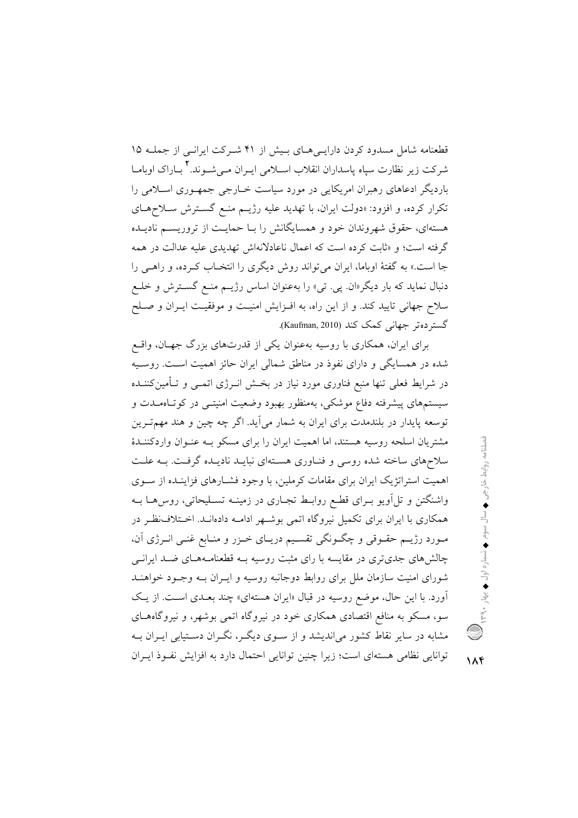قطعنامه شامل مسدود کردن دارایـیهـای بـیش از ۴۱ شـرکت ایرانـی از جملـه ۱۵ شرکت زیر نظارت سیاه یاسداران انقلاب اســلامی ایــران مــیشــوند.۲ بــاراک اوبامــا باردیگر ادعاهای رهبران امریکایی در مورد سیاست خـارجی جمهـوری اسـلامی را تکرار کرده، و افزود: «دولت ایران، با تهدید علیه رژیــم منــع گســترش ســلاحهــای هستهای، حقوق شهروندان خود و همسایگانش را بـا حمایـت از تروریسـم نادیـده گرفته است؛ و «ثابت کرده است که اعمال ناعادلانهاش تهدیدی علیه عدالت در همه جا است.» به گفتهٔ اوباما، ایران میتواند روش دیگری را انتخـاب کـرده، و راهـبی را دنبال نماید که بار دیگر«ان<sub>· بحی</sub>. تبی» را بهعنوان اساس رژیــم منـع گســترش و خلــع سلاح جهانی تایید کند. و از این راه، به افـزایش امنیـت و موفقیـت ایـران و صـلح گستر ده تر جهانی کمک کند (Kaufman, 2010).

برای ایران، همکاری با روسیه بهعنوان یکی از قدرتهای بزرگ جهـان، واقـع شده در همسایگی و دارای نفوذ در مناطق شمالی ایران حائز اهمیت است. روسیه در شرایط فعلی تنها منبع فناوری مورد نیاز در بخـش انــرژی اتمــی و تــأمین۵کننــده سیستمهای پیشرفته دفاع موشکی، بهمنظور بهبود وضعیت امنیتــی در کوتـاهمــدت و توسعه پایدار در بلندمدت برای ایران به شمار میآید. اگر چه چین و هند مهمتـرین مشتریان اسلحه روسیه هستند، اما اهمیت ایران را برای مسکو بـه عنـوان واردکننـدهٔ سلاحهای ساخته شده روسی و فنـاوری هسـتهای نبایـد نادیـده گرفـت. بـه علـت اهمیت استراتژیک ایران برای مقامات کرملین، با وجود فشـارهای فزاینـده از سـوی واشنگتن و تل آویو بـرای قطـع روابـط تجـاری در زمینـه تسـلیحاتی، روس۵هـا بـه همکاری با ایران برای تکمیل نیروگاه اتمی بوشـهر ادامـه دادهانـد. اخـتلاف:ظـر در مـورد رژيــم حقــوقى و چگــونگى تقســيم دريــاى خــزر و منــابع غنــى انــرژى آن، چالش های جدیتری در مقایسه با رای مثبت روسیه بــه قطعنامــههــای ضــد ایرانــی شورای امنیت سازمان ملل برای روابط دوجانبه روسیه و ایـران بـه وجـود خواهنـد آورد. با این حال، موضع روسیه در قبال «ایران هستهای» چند بعـدی اسـت. از یـک سو، مسکو به منافع اقتصادی همکاری خود در نیروگاه اتمی بوشهر، و نیروگاههای مشابه در سایر نقاط کشور میاندیشد و از سـوی دیگـر، نگـران دسـتیابی ایـران بـه توانایی نظامی هستهای است؛ زیرا چنین توانایی احتمال دارد به افزایش نفـوذ ایـران

 $\lambda$ ۴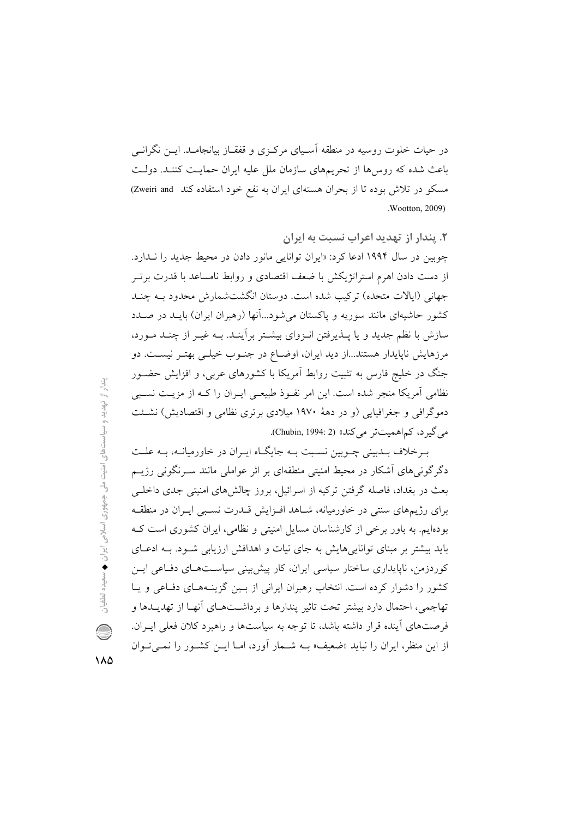در حیات خلوت روسیه در منطقه آسـیای مرکـزی و قفقـاز بیانجامـد. ایــن نگرانــی باعث شده که روسها از تحریمهای سازمان ملل علیه ایران حمایت کننـد. دولـت مسکو در تلاش بوده تا از بحران هستهای ایران به نفع خود استفاده کند Zweiri and **Wootton**, 2009).

۲. پندار از تهدید اعراب نسبت به ایران چوبین در سال ۱۹۹۴ ادعا کرد: «ایران توانایی مانور دادن در محیط جدید را ندارد. از دست دادن اهرم استراتژیکش با ضعف اقتصادی و روابط نامساعد با قدرت برتـر جهانی (ایالات متحده) ترکیب شده است. دوستان انگشتشمارش محدود بــه چنــد کشور حاشیهای مانند سوریه و پاکستان می شود...آنها (رهبران ایران) بایـد در صـدد سازش با نظم جدید و یا پــذیرفتن انــزوای بیشــتر برآینــد. بــه غیــر از چنــد مــورد، مرزهایش ناپایدار هستند...از دید ایران، اوضـاع در جنـوب خیلـی بهتـر نیسـت. دو جنگ در خلیج فارس به تثبیت روابط آمریکا با کشورهای عربی، و افزایش حضـور نظامی آمریکا منجر شده است. این امر نفوذ طبیعی ایـران را کـه از مزیـت نسـبی دموگرافی و جغرافیایی (و در دههٔ ۱۹۷۰ میلادی برتری نظامی و اقتصادیش) نشئت می گیر د، کم اهمیت تر می کند» (Chubin, 1994: 2).

به خلاف بیدبینی چیوبین نسبت بیه جایگاه ایبران در خاورمیانیه، بیه علیت دگر گونر های آشکار در محیط امنیتی منطقهای بر اثر عواملی مانند سـرنگونی رژیــم بعث در بغداد، فاصله گرفتن ترکیه از اسرائیل، بروز چالش های امنیتی جدی داخلــی برای رژیمهای سنتی در خاورمیانه، شـاهد افـزایش قــدرت نسـبی ایـران در منطقــه بودهایم. به باور برخی از کارشناسان مسایل امنیتی و نظامی، ایران کشوری است ک باید بیشتر بر مبنای توانایی هایش به جای نیات و اهدافش ارزیابی شـود. بـه ادعـای کوردزمن، ناپایداری ساختار سیاسی ایران، کار پیش بینی سیاسـتهـای دفـاعی ایـن کشور را دشوار کرده است. انتخاب رهبران ایرانی از بسین گزینـههـای دفـاعی و یـا تهاجمي، احتمال دارد بيشتر تحت تاثير يندارها و برداشتهاي أنهـا از تهديــدها و فرصتهای آینده قرار داشته باشد، تا توجه به سیاستها و راهبرد کلان فعلم ایـران. از این منظر، ایران را نباید «ضعیف» بــه شــمار آورد، امــا ایــن کشــور را نمــی تــوان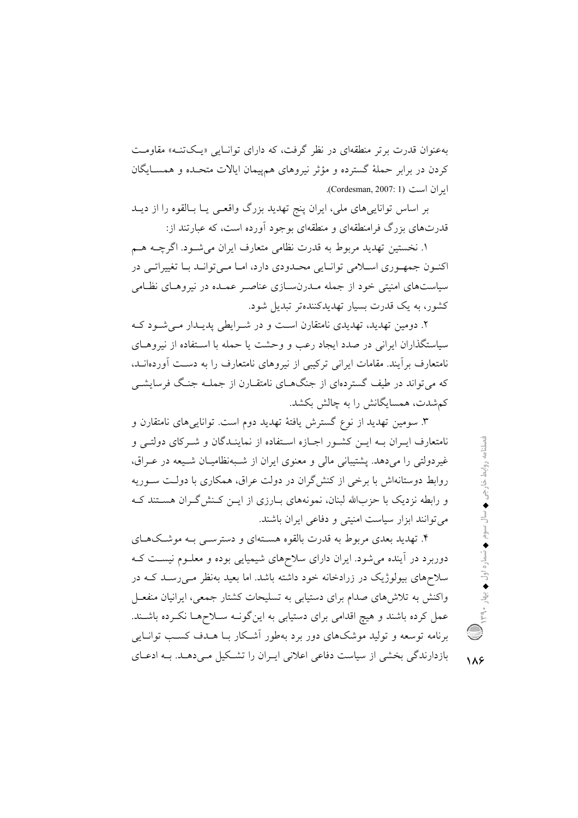بهعنوان قدرت برتر منطقهای در نظر گرفت، که دارای توانایی «پکتنه» مقاومت کردن در برابر حملهٔ گسترده و مؤثر نیروهای همهیمان ایالات متحـده و همسـایگان ايران است (Cordesman, 2007: 1).

بر اساس توانایی های ملی، ایران پنج تهدید بزرگ واقعبی پــا بــالقوه را از دیــد قدرتهای بزرگ فرامنطقهای و منطقهای بوجود آورده است، که عبارتند از:

١. نخستين تهديد مربوط به قدرت نظامي متعارف ايران مي شـود. اگرچــه هــم اکنون جمهوری اسلامی توانایی محدودی دارد، اما میتواند با تغییراتی در سیاستهای امنیتی خود از جمله مـدرنسـازی عناصـر عمـده در نیروهـای نظـامی کشور، به یک قدرت بسیار تهدیدکنندهتر تبدیل شود.

۲. دومین تهدید، تهدیدی نامتقارن است و در شیرابطی پدیسدار می شیود کیه سیاستگذاران ایرانی در صدد ایجاد رعب و وحشت یا حمله با استفاده از نیروهـای نامتعارف برأيند. مقامات ايراني تركيبي از نيروهاي نامتعارف را به دست آوردهانــد، که می تواند در طبف گستردهای از جنگهــای نامتقــارن از جملــه جنــگ فرسایشــی کمشدت، همسایگانش را به چالش بکشد.

۳. سومین تهدید از نوع گسترش یافتهٔ تهدید دوم است. توانایی۵مای نامتقارن و نامتعارف ایـران بـه ایــن کشــور اجــازه اســتفاده از نماینــدگان و شــرکای دولتــی و غیردولتی را میدهد. پشتیبانی مالی و معنوی ایران از شـبهنظامیـان شـیعه در عـراق، روابط دوستانهاش با برخی از کنش گران در دولت عراق، همکاری با دولت سوریه و رابطه نزدیک با حزبالله لبنان، نمونههای بـارزی از ایــن کـنش گــران هســتند کــه می توانند ابزار سیاست امنیتی و دفاعی ایران باشند.

۴. تهدید بعدی مربوط به قدرت بالقوه هسـتهای و دسترسـی بـه موشـکهـای دوربرد در آینده می شود. ایران دارای سلاحهای شیمیایی بوده و معلـوم نیسـت کـه سلاحهای بیولوژیک در زرادخانه خود داشته باشد. اما بعید بهنظر مـیرسـد کـه در واکنش به تلاش های صدام برای دستیابی به تسلیحات کشتار جمعی، ایرانیان منفعـل عمل کرده باشند و هیچ اقدامی برای دستیابی به اینگونـه سـلاحهـا نکـرده باشـند. برنامه توسعه و تولید موشکهای دور برد بهطور آشکار بـا هــدف کسـب توانــایی بازدارندگی بخشی از سیاست دفاعی اعلانی ایـران را تشـکیل مـی دهـد. بـه ادعـای

 $\lambda$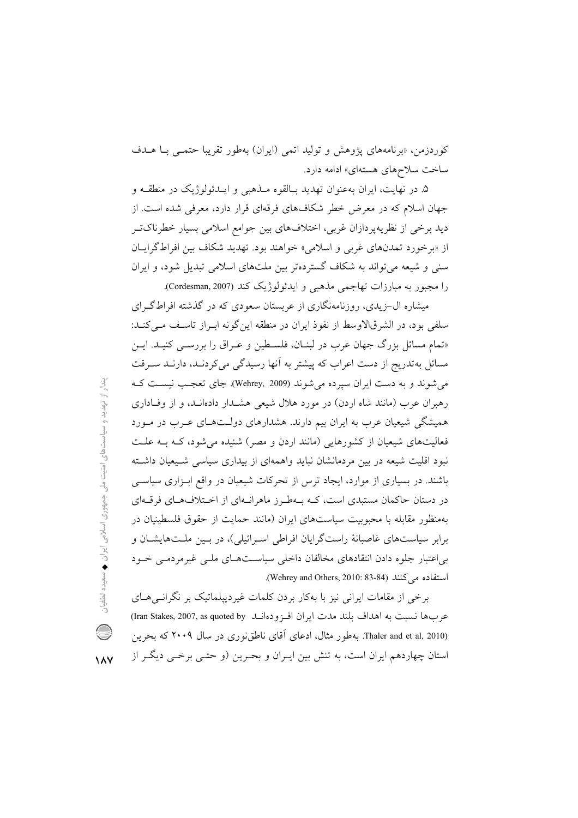كوردزمن، «برنامههاي يژوهش و توليد اتمي (ايران) بهطور تقريبا حتمـي بــا هــدف ساخت سلاحهای هستهای» ادامه دارد.

۵. در نهایت، ایران بهعنوان تهدید بـالقوه مــذهبی و ایــدئولوژیک در منطقــه و جهان اسلام که در معرض خطر شکافهای فرقهای قرار دارد، معرفی شده است. از دید برخی از نظریهپردازان غربی، اختلافهای بین جوامع اسلامی بسیار خطرناکتر از «برخورد تمدنهای غربی و اسلامی» خواهند بود. تهدید شکاف بین افراطگرایان سنی و شیعه میتواند به شکاف گستردهتر بین ملتهای اسلامی تبدیل شود، و ایران را مجبور به مبارزات تهاجمي مذهبي و ايدئولوژيک کند (Cordesman, 2007).

میشاره ال-زیدی، روزنامهنگاری از عربستان سعودی که در گذشته افراطگ ای سلفی بود، در الشرقالاوسط از نفوذ ایران در منطقه این گونه ایبراز تاسیف می کنید: «تمام مسائل بزرگ جهان عرب در لبنــان، فلســطین و عــراق را بررســی کنیــد. ایــن مسائل بهتدریج از دست اعراب که پیشتر به آنها رسیدگی میکردنـد، دارنـد سـرقت می شوند و به دست ایران سیرده می شوند (Wehrey, 2009). جای تعجب نیست کـه رهبران عرب (مانند شاه اردن) در مورد هلال شیعی هشـدار دادهانـد، و از وفـاداری همیشگی شیعیان عرب به ایران بیم دارند. هشدارهای دولـتهـای عـرب در مـورد فعالیتهای شیعیان از کشورهایی (مانند اردن و مصر) شنیده می شود، کـه بـه علـت نبود اقلیت شیعه در بین مردمانشان نباید واهمهای از بیداری سیاسی شـیعیان داشـته باشند. در بسیاری از موارد، ایجاد ترس از تحرکات شیعیان در واقع ابزاری سیاسی در دستان حاکمان مستبدی است، کـه بـهطـرز ماهرانـهای از اخـتلافهـای فرقـهای بهمنظور مقابله با محبوبیت سیاستهای ایران (مانند حمایت از حقوق فلسطینیان در برابر سیاستهای غاصبانهٔ راستگرایان افراطی اسـرائیلی)، در بـین ملـتهایشـان و یے اعتبار جلوہ دادن انتقادهای مخالفان داخلی سیاست هیای ملبی غیرمردمبی خبود استفاده مے کنند (Wehrey and Others, 2010: 83-84).

برخی از مقامات ایرانی نیز با بهکار بردن کلمات غیردیپلماتیک بر نگرانسی هــای عربها نسبت به اهداف بلند مدت ايران افـزودهانـد (Iran Stakes, 2007, as quoted by) Thaler and et al, 2010). بهطور مثال، ادعای آقای ناطق نوری در سال ۲۰۰۹ که بحرین استان چهاردهم ایران است، به تنش بین ایـران و بحـرین (و حتـی برخـی دیگـر از

 $\lambda$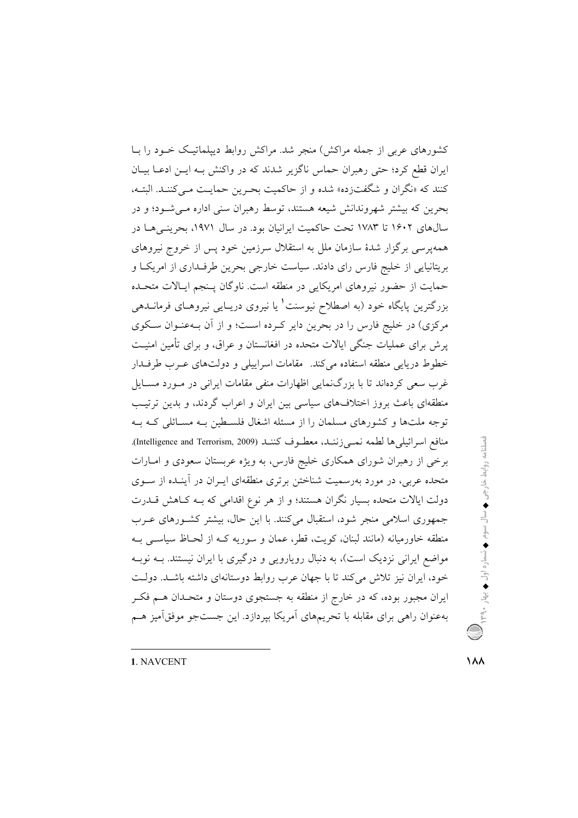کشورهای عربی از جمله مراکش) منجر شد. مراکش روابط دیپلماتیک خـود را بـا ایران قطع کرد؛ حتی رهبران حماس ناگزیر شدند که در واکنش بـه ایـن ادعـا بیـان كنند كه «نگران و شگفتزده» شده و از حاكميت بحـرين حمايـت مـىكننـد. البتـه، بحرین که بیشتر شهروندانش شیعه هستند، توسط رهبران سنی اداره مبی شـود؛ و در سالهای ۱۶۰۲ تا ۱۷۸۳ تحت حاکمیت ایرانیان بود. در سال ۱۹۷۱، بحرینهی ها در همهپرسی برگزار شدهٔ سازمان ملل به استقلال سرزمین خود پس از خروج نیروهای بریتانیایی از خلیج فارس رای دادند. سیاست خارجی بحرین طرف داری از امریکا و حمایت از حضور نیروهای امریکایی در منطقه است. ناوگان پـنجم ایـالات متحـده بزرگترین پایگاه خود (به اصطلاح نیوسنت' یا نیروی دریـایی نیروهـای فرمانــدهی مرکزی) در خلیج فارس را در بحرین دایر کـرده اسـت؛ و از آن بـهعنـوان سـکوی پرش برای عملیات جنگی ایالات متحده در افغانستان و عراق، و برای تأمین امنیـت خطوط دریایی منطقه استفاده میکند. مقامات اسراییلی و دولتهای عـرب طرفـدار غرب سعی کردهاند تا با بزرگنمایی اظهارات منفی مقامات ایرانی در مـورد مســایل منطقهای باعث بروز اختلافهای سیاسی بین ایران و اعراب گردند، و بدین ترتیب توجه ملتها و کشورهای مسلمان را از مسئله اشغال فلسطین بـه مسـائلی کـه بـه منافع اسرائيلي ها لطمه نمـيزننـد، معطـوف كننـد (Intelligence and Terrorism, 2009). برخی از رهبران شورای همکاری خلیج فارس، به ویژه عربستان سعودی و امـارات متحده عربی، در مورد بهرسمیت شناختن برتری منطقهای ایـران در آینـده از ســوی دولت ایالات متحده بسیار نگران هستند؛ و از هر نوع اقدامی که بـه کـاهش قــدرت جمهوری اسلامی منجر شود، استقبال میکنند. با این حال، بیشتر کشورهای عـرب منطقه خاورمیانه (مانند لبنان، کویت، قطر، عمان و سوریه کـه از لحـاظ سیاســی بــه مواضع ایرانی نزدیک است)، به دنبال رویارویی و درگیری با ایران نیستند. بــه نوبــه خود، ایران نیز تلاش میکند تا با جهان عرب روابط دوستانهای داشته باشـد. دولت ایران مجبور بوده، که در خارج از منطقه به جستجوی دوستان و متحـدان هــم فکــر بهعنوان راهي براي مقابله با تحريمهاي أمريكا بپردازد. اين جستجو موفقاًميز هـم

فصلنامه روابط خارجى ♦ سال سوم ♦ شماره اول ♦ يهار ٣٩٠٠ ( الله )

1. NAVCENT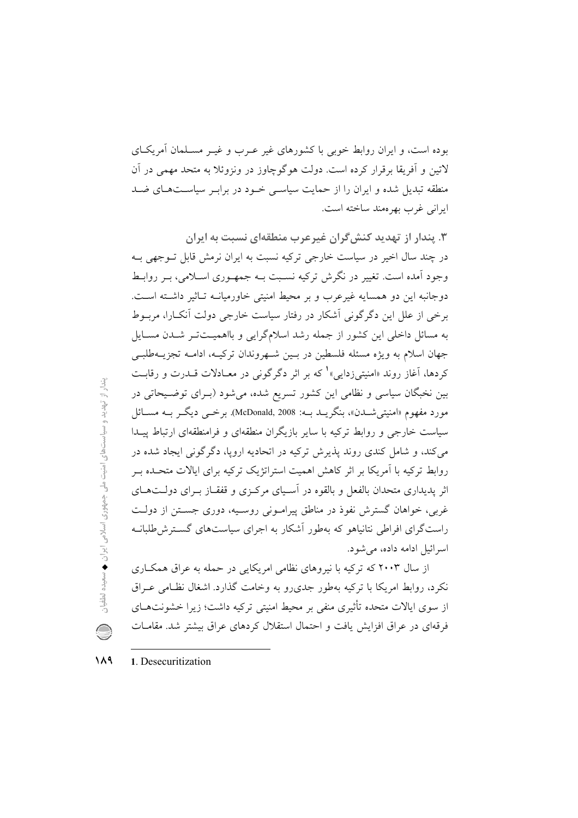بوده است، و ایران روابط خوبی با کشورهای غیر عـرب و غیــر مســلمان آمریکــای لاتين و أفريقا برقرار كرده است. دولت هوگوچاوز در ونزوئلا به متحد مهمي در آن منطقه تبدیل شده و ایران را از حمایت سیاسی خـود در برابـر سیاسـتهـای ضـد ابرانی غرب بھر معند ساخته است.

۳. پندار از تهدید کنش گران غیرعرب منطقهای نسبت به ایران در چند سال اخیر در سیاست خارجی ترکیه نسبت به ایران نرمش قابل تـوجهی بـه وجود آمده است. تغییر در نگرش ترکیه نسـبت بــه جمهــوری اســلامی، بــر روابــط دوجانبه این دو همسایه غیرعرب و بر محیط امنیتی خاورمیانــه تــاثیر داشـته اسـت. برخی از علل این دگرگونی آشکار در رفتار سیاست خارجی دولت آنک\را، مربوط به مسائل داخلی این کشور از جمله رشد اسلامگرایی و بااهمیتت ر شـدن مسـایل جهان اسلام به ويژه مسئله فلسطين در بـين شـهروندان تركيـه، ادامـه تجزيــهطلبـي کردها، آغاز روند «امنیتی¿دایی»<sup>۱</sup> که بر اثر دگرگونی در معــادلات قــدرت و رقابــت بین نخبگان سیاسی و نظامی این کشور تسریع شده، می شود (بـرای توضـیحاتی در مورد مفهوم «امنيتي شــدن»، بنگريــد بــه: McDonald, 2008). برخـــي ديگــر بــه مســائل سیاست خارجی و روابط ترکیه با سایر بازیگران منطقهای و فرامنطقهای ارتباط پیـدا می کند، و شامل کندی روند پذیرش ترکیه در اتحادیه اروپا، دگر گونی ایجاد شده در روابط ترکیه با آمریکا بر اثر کاهش اهمیت استراتژیک ترکیه برای ایالات متحـده بـر اثر پدیداری متحدان بالفعل و بالقوه در آسـیای مرکـزی و قفقـاز بـرای دولــتهــای غربی، خواهان گسترش نفوذ در مناطق پیرامونی روسیه، دوری جستن از دولت راست گرای افراطی نتانیاهو که بهطور آشکار به اجرای سیاستهای گسترش طلبانــه اسر ائيل ادامه داده، مي شود.

از سال ۲۰۰۳ که ترکیه با نیروهای نظامی امریکایی در حمله به عراق همکـاری نکرد، روابط امریکا با ترکیه بهطور جدی رو به وخامت گذارد. اشغال نظـامی عـراق از سوی ایالات متحده تأثیری منفی بر محیط امنیتی ترکیه داشت؛ زیرا خشونتهــای فرقهای در عراق افزایش یافت و احتمال استقلال کردهای عراق بیشتر شد. مقامـات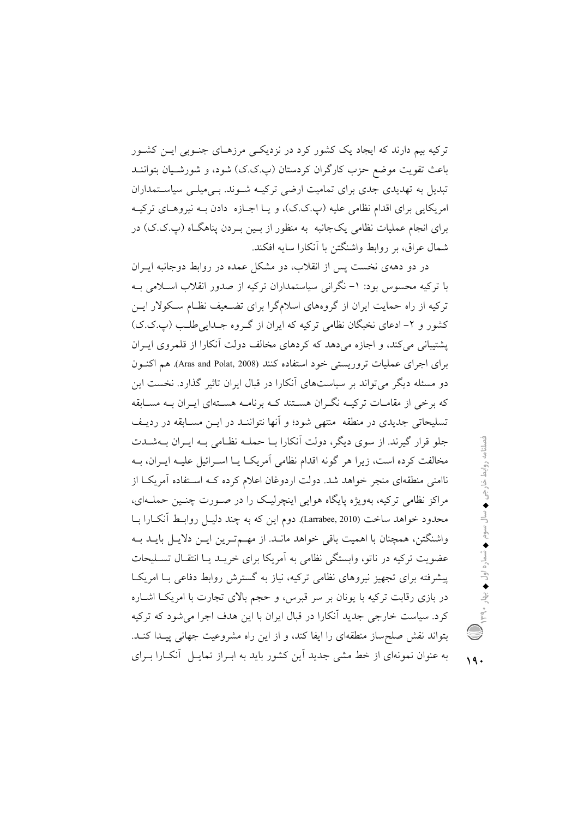ترکیه بیم دارند که ایجاد یک کشور کرد در نزدیکـی مرزهـای جنـوبی ایــن کشــور باعث تقویت موضع حزب کارگران کردستان (پ.ک.ک) شود، و شورشـیان بتواننـد تبدیل به تهدیدی جدی برای تمامیت ارضی ترکیـه شـوند. بـیمیلـی سیاسـتمداران امریکایی برای اقدام نظامی علیه (ب.ک.ک)، و پیا اجبازه ادادن پیه نیروهیای ترکیبه برای انجام عملیات نظامی یکجانبه به منظور از بـین بـردن پناهگـاه (پ.ک.ک) در شمال عراق، بر روابط واشنگتن با أنكارا سايه افكند.

در دو دههی نخست پس از انقلاب، دو مشکل عمده در روابط دوجانبه ایـران با ترکیه محسوس بود: ۱– نگرانی سیاستمداران ترکیه از صدور انقلاب اسـلامی بــه ترکیه از راه حمایت ایران از گروههای اسلامگرا برای تضعیف نظـام سـکولار ایــن کشور و ۲- ادعای نخبگان نظامی ترکیه که ایران از گـروه جـدایی طلـب (پ.ک.ک) یشتیبانی می کند، و اجازه می دهد که کردهای مخالف دولت آنکارا از قلمروی ایـران براي اجراي عمليات تروريستي خود استفاده كنند (Aras and Polat, 2008). هم اكنون دو مسئله دیگر می تواند بر سیاستهای آنکارا در قبال ایران تاثیر گذارد. نخست این که برخی از مقامـات ترکیــه نگــران هســتند کــه برنامــه هســتهای ایــران بــه مســابقه تسلیحاتی جدیدی در منطقه ً منتهی شود؛ و آنها نتواننـد در ایــن مســابقه در ردیــف جلو قرار گیرند. از سوی دیگر، دولت آنکارا بـا حملـه نظـامی بـه ایـران بــهشــدت مخالفت کرده است، زیرا هر گونه اقدام نظامی آمریکـا یـا اسـرائیل علیـه ایـران، بـه ناامنی منطقهای منجر خواهد شد. دولت اردوغان اعلام کرده کـه اسـتفاده آمریکـا از مراکز نظامی ترکیه، بهویژه پایگاه هوایی اینچرلیک را در صـورت چنـین حملـهای، محدود خواهد ساخت (Larrabee, 2010). دوم این که به چند دلیـل روابـط اَنکـارا بـا واشنگتن، همچنان با اهمیت باقی خواهد مانـد. از مهـمترین ایـن دلایـل بایـد بـه عضویت ترکیه در ناتو، وابستگی نظامی به اَمریکا برای خریـد یـا انتقـال تسـلیحات پیشرفته برای تجهیز نیروهای نظامی ترکیه، نیاز به گسترش روابط دفاعی بـا امریکـا در بازی رقابت ترکیه با یونان بر سر قبرس، و حجم بالای تجارت با امریکـا اشــاره کرد. سیاست خارجی جدید آنکارا در قبال ایران با این هدف اجرا می شود که ترکیه بتواند نقش صلحساز منطقهای را ایفا کند، و از این راه مشروعیت جهانی پیـدا کنـد. به عنوان نمونهای از خط مشی جدید آین کشور باید به ابـراز تمایـل آنکـارا بـرای

 $19.$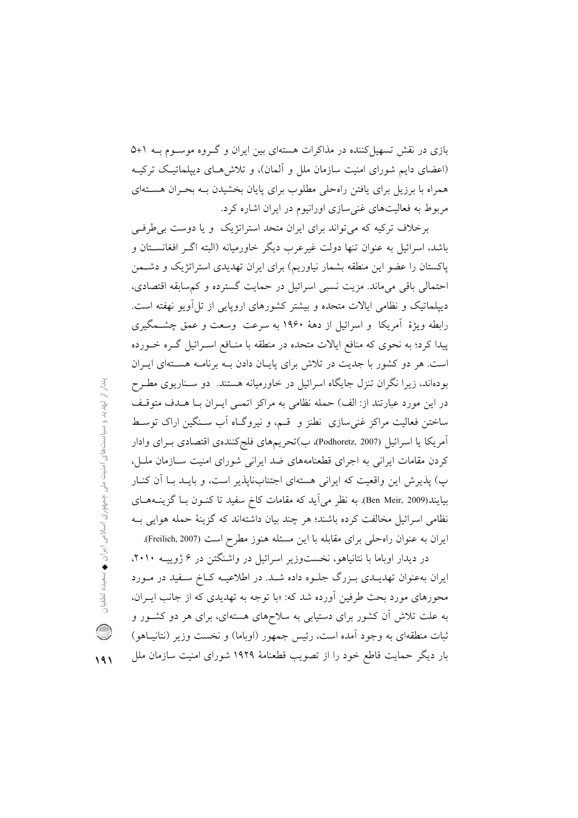بازی در نقش تسهیل کننده در مذاکرات هستهای بین ایران و گـروه موسـوم بـه ۱+۵ (اعضای دایم شورای امنیت سازمان ملل و آلمان)، و تلاش هـای دیپلماتیـک ترکیـه همراه با برزیل برای یافتن راهحلی مطلوب برای پایان بخشیدن بـه بحـران هسـتهای مربوط به فعالیتهای غنی سازی اورانیوم در ایران اشاره کرد.

برخلاف ترکیه که می تواند برای ایران متحد استراتژیک و یا دوست بی طرفی باشد، اسرائیل به عنوان تنها دولت غیرعرب دیگر خاورمیانه (البته اگـر افغانسـتان و پاکستان را عضو این منطقه بشمار نیاوریم) برای ایران تهدیدی استراتژیک و دشـمن احتمالي باقي ميءاند. مزيت نسبي اسرائيل در حمايت گسترده و كمسابقه اقتصادي، دیپلماتیک و نظامی ایالات متحده و بیشتر کشورهای اروپایی از تل اَویو نهفته است. رابطه ویژهٔ آمریکا و اسرائیل از دههٔ ۱۹۶۰ به سرعت وسعت و عمق چشـمگیری پیدا کرد؛ به نحوی که منافع ایالات متحده در منطقه با منـافع اسـرائیل گـره خــورده است. هر دو کشور با جدیت در تلاش برای پایان دادن بـه برنامـه هستهای ایـران بودهاند، زیرا نگران تنزل جایگاه اسرائیل در خاورمیانه هستند. دو سـناریوی مطـرح در این مورد عبارتند از: الف) حمله نظامی به مراکز اتمـی ایـران بـا هـدف متوقـف ساختن فعالیت مراکز غنی سازی نطنز و قسم، و نیروگIه آب سـنگین اراک توسـط آمريكا يا اسرائيل (Podhoretz, 2007)، ب)تحريمهاي فلج كنندهي اقتصادي بـراي وادار کردن مقامات ایرانی به اجرای قطعنامههای ضد ایرانی شورای امنیت سـازمان ملـل، پ) پذیرش این واقعیت که ایرانی هستهای اجتنابناپذیر است، و بایـد بـا آن کنـار بیایند(Ben Meir, 2009). به نظر می آید که مقامات کاخ سفید تا کنون بـا گزینــههــای نظامی اسرائیل مخالفت کرده باشند؛ هر چند بیان داشتهاند که گزینهٔ حمله هوایی بـه ایران به عنوان راه حلی برای مقابله با این مسئله هنوز مطرح است (Freilich, 2007).

در دیدار اوباما با نتانیاهو، نخستوزیر اسرائیل در واشنگتن در ۶ ژوپیـه ۲۰۱۰، ایران بهعنوان تهدیـدی بـزرگ جلـوه داده شـد. در اطلاعیـه کـاخ سـفید در مـورد محورهای مورد بحث طرفین اَورده شد که: «با توجه به تهدیدی که از جانب ایـران، به علت تلاش آن کشور برای دستیابی به سلاحهای هستهای، برای هر دو کشـور و ثبات منطقهای به وجود آمده است، رئیس جمهور (اوباما) و نخست وزیر (نتانیـاهو) بار دیگر حمایت قاطع خود را از تصویب قطعنامهٔ ۱۹۲۹ شورای امنیت سازمان ملل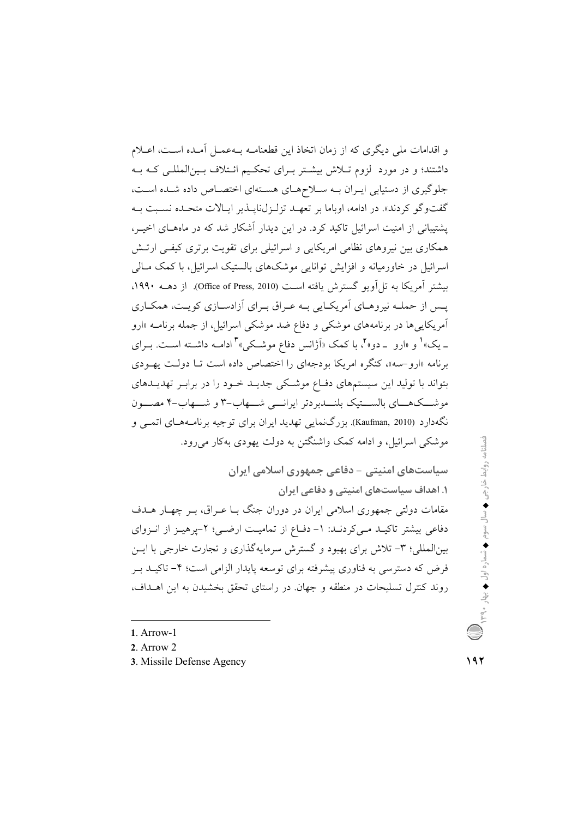و اقدامات ملی دیگری که از زمان اتخاذ این قطعنامـه بـهعمـل آمـده اسـت، اعــلام داشتند؛ و در مورد لزوم تـلاش بیشـتر بـرای تحکـیم ائـتلاف بـین|لمللـی کـه بـه جلوگیری از دستیابی ایـران بـه سـلاحهـای هسـتهای اختصـاص داده شـده اسـت، گفتوگو کردند». در ادامه، اوباما بر تعهـد تزلـزلنايـذير ايـالات متحـده نسـبت بـه یشتیبانی از امنیت اسرائیل تاکید کرد. در این دیدار آشکار شد که در ماههـای اخیــر، همکاری بین نیروهای نظامی امریکایی و اسرائیلی برای تقویت برتری کیفی ارتـش اسرائیل در خاورمیانه و افزایش توانایی موشکهای بالستیک اسرائیل، با کمک مـالی بیشتر آمریکا به تل آویو گسترش یافته است (Office of Press, 2010). از دهــه ۱۹۹۰، یس از حملـه نیروهـای آمریکـایی بـه عـراق بـرای آزادسـازی کویـت، همکـاری آمریکای<sub>چه</sub>ها در برنامههای موشکی و دفاع ضد موشکی اسرائیل، از جمله برنامــه «ارو \_ یک» و «ارو \_دو» ٌ، با کمک «اَژانس دفاع موشکی» ؓ ادامـه داشـته اسـت. بـرای برنامه «ارو-سه»، کنگره امریکا بودجهای را اختصاص داده است تـا دولـت یهـودی بتواند با تولید این سیستمهای دفاع موشکی جدیـد خـود را در برابـر تهدیـدهای موشـــکـهـــای بالســـتیک بلنـــدبردتر ایرانـــی شـــهاب-۳ و شـــهاب-۴ مصـــون .<br>نگهدارد (Kaufman, 2010). بزرگ نمایی تهدید ایران برای توجیه برنامه هـای اتمـی و موشکي اسرائيل، و ادامه کمک واشنگتن په دولت پهودې پهکار مي رود.

سیاستهای امنیتی - دفاعی جمهوری اسلامی ایران ۱. اهداف سیاستهای امنیتی و دفاعی ایران مقامات دولتی جمهوری اسلامی ایران در دوران جنگ بـا عـراق، بـر چهـار هــدف دفاعی بیشتر تاکیـد مـیکردنـد: ۱- دفـاع از تمامیـت ارضـی؛ ۲-پرهیـز از انـزوای بین|لمللی؛ ۳- تلاش برای بهبود و گسترش سرمایهگذاری و تجارت خارجی با ایــن فرض که دسترسی به فناوری پیشرفته برای توسعه پایدار الزامی است؛ ۴– تاکیــد بــر روند کنترل تسلیحات در منطقه و جهان در راستای تحقق بخشیدن به این اهــداف،

1. Arrow-1

2 Arrow  $2$ 

3. Missile Defense Agency

فصلنامه روابط خارجی ♦ سال سوم ♦ شماره اول ♦ بهار ٣٩٩٠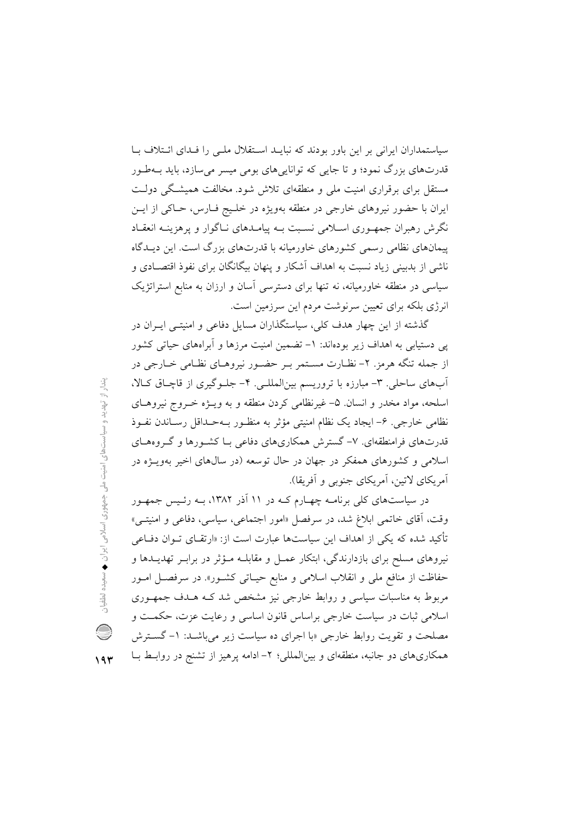سیاستمداران ایرانی بر این باور بودند که نبایـد اسـتقلال ملـی را فـدای ائـتلاف بـا قدرتهای بزرگ نمود؛ و تا جایی که تواناییهای بومی میسر می سازد، باید بـهطـور مستقل برای برقراری امنیت ملی و منطقهای تلاش شود. مخالفت همیشگی دولت ایران با حضور نیروهای خارجی در منطقه بهویژه در خلـیج فـارس، حـاکی از ایــن نگرش رهبران جمهـوری اسـلامی نسـبت بــه ییامــدهای نــاگوار و پرهزینــه انعقــاد پیمانهای نظامی رسمی کشورهای خاورمیانه با قدرتهای بزرگ است. این دیـدگاه ناشی از بدبینی زیاد نسبت به اهداف آشکار و پنهان بیگانگان برای نفوذ اقتصـادی و سیاسی در منطقه خاورمیانه، نه تنها برای دسترسی آسان و ارزان به منابع استراتژیک انرژی بلکه برای تعیین سرنوشت مردم این سرزمین است.

گذشته از این چهار هدف کلی، سیاستگذاران مسایل دفاعی و امنیتـی ایــران در یی دستیابی به اهداف زیر بودهاند: ۱– تضمین امنیت مرزها و أبراههای حیاتی کشور از جمله تنگه هرمز. ۲- نظـارت مسـتمر بـر حضـور نيروهـاي نظـامي خـارجي در أبهای ساحلی . ۳- مبارزه با تروریسم بین المللـی. ۴- جلـوگیری از قاچـاق کـالا، اسلحه، مواد مخدر و انسان ۵- غیرنظامی کردن منطقه و به ویـژه خـروج نیروهـای نظامی خارجی. ۶- ایجاد یک نظام امنیتی مؤثر به منظـور بـهحـداقل رسـاندن نفـوذ قدرتهای فرامنطقهای. ۷- گسترش همکاریهای دفاعی بـا کشـورها و گـروههـای اسلامی و کشورهای همفکر در جهان در حال توسعه (در سالهای اخیر بهویـژه در أمريكاي لاتين، أمريكاي جنوبي و أفريقا).

در سیاستهای کلی برنامـه چهـارم کـه در ۱۱ آذر ۱۳۸۲، بـه رئـیس جمهـور وقت، آقای خاتمی ابلاغ شد، در سرفصل «امور اجتماعی، سیاسی، دفاعی و امنیتـی» تأکید شده که یکی از اهداف این سیاستها عبارت است از: «ارتقـای تــوان دفــاعی نیروهای مسلح برای بازدارندگی، ابتکار عمـل و مقابلــه مـؤثر در برابـر تهدیــدها و حفاظت از منافع ملي و انقلاب اسلامي و منابع حيـاتي كشـور». در سرفصـل امـور مربوط به مناسبات سیاسی و روابط خارجی نیز مشخص شد کـه هـدف جمهـوری اسلامي ثبات در سياست خارجي براساس قانون اساسي و رعايت عزت، حكمت و مصلحت و تقویت روابط خارجی «با اجرای ده سیاست زیر می باشـد: ۱– گسـترش همکاریهای دو جانبه، منطقهای و بین|لمللی؛ ۲– ادامه پرهیز از تشنج در روابـط بــا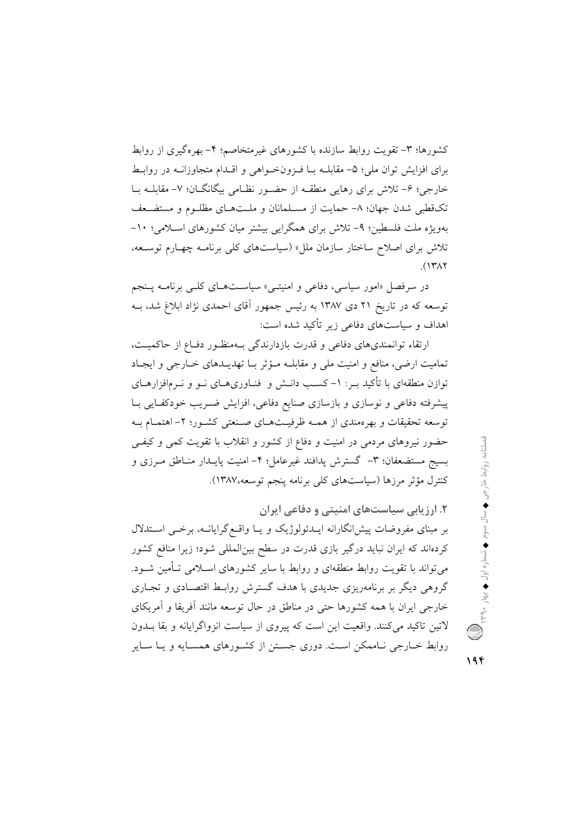کشورها؛ ٣- تقویت روابط سازنده با کشورهای غیرمتخاصم؛ ۴- بهرهگیری از روابط برای افزایش توان ملی؛ ۵– مقابلــه بــا فــزونخــواهی و اقــدام متجاوزانــه در روابــط خارجی؛ ۶- تلاش برای رهایی منطقـه از حضـور نظـامی بیگانگـان؛ ۷- مقابلــه بــا تکقطبی شدن جهان؛ ۸– حمایت از مسـلمانان و ملـتهـای مظلـوم و مستضـعف بهویژه ملت فلسطین؛ ۹- تلاش برای همگرایی بیشتر میان کشورهای اسلامی؛ ۱۰-تلاش برای اصلاح ساختار سازمان ملل» (سیاستهای کلی برنامـه چهـارم توسـعه،  $(147)$ 

در سرفصل «امور سیاسی، دفاعی و امنیتــی» سیاســتهــای کلــی برنامــه پــنجم توسعه که در تاریخ ۲۱ دی ۱۳۸۷ به رئیس جمهور آقای احمدی نژاد ابلاغ شد، بــه اهداف و سیاستهای دفاعی زیر تأکید شده است:

ارتقاء توانمندیهای دفاعی و قدرت بازدارندگی بـهمنظـور دفـاع از حاکمیـت، تمامیت ارضی، منافع و امنیت ملی و مقابلـه مـؤثر بـا تهدیــدهای خــارجی و ایجـاد توازن منطقهای با تأکید بـر : ١- کسـب دانــش و فنــاوریهــای نــو و نــرمافزارهــای پیشرفته دفاعی و نوسازی و بازسازی صنایع دفاعی، افزایش ضـریب خودکفـایی بـا توسعه تحقیقات و بهرهمندی از همـه ظرفیـتهـای صـنعتی کشـور؛ ۲- اهتمـام بـه حضور نیروهای مردمی در امنیت و دفاع از کشور و انقلاب با تقویت کمی و کیفی بسيج مستضعفان؛ ٣- گسترش پدافند غيرعامل؛ ۴- امنيت پايـدار منـاطق مـرزى و كنترل مؤثر مرزها (سياستهاي كلي برنامه پنجم توسعه،١٣٨٧).

۲. ارزیابی سیاستهای امنیتی و دفاعی ایران بر مبنای مفروضات پیش انگارانه ایـدئولوژیک و یـا واقـع گرایانــه، برخـی اسـتدلال کردهاند که ایران نباید درگیر بازی قدرت در سطح بینالمللی شود؛ زیرا منافع کشور می تواند با تقویت روابط منطقهای و روابط با سایر کشورهای اســلامی تــأمین شــود. گروهی دیگر بر برنامهریزی جدیدی با هدف گسترش روابط اقتصـادی و تجـاری خارجی ایران با همه کشورها حتی در مناطق در حال توسعه مانند آفریقا و آمریکای لاتین تاکید می کنند. واقعیت این است که پیروی از سیاست انزواگرایانه و بقا بــدون روابط خـارجی نـاممکن اسـت. دوری جسـتن از کشـورهای همسـایه و یـا سـایر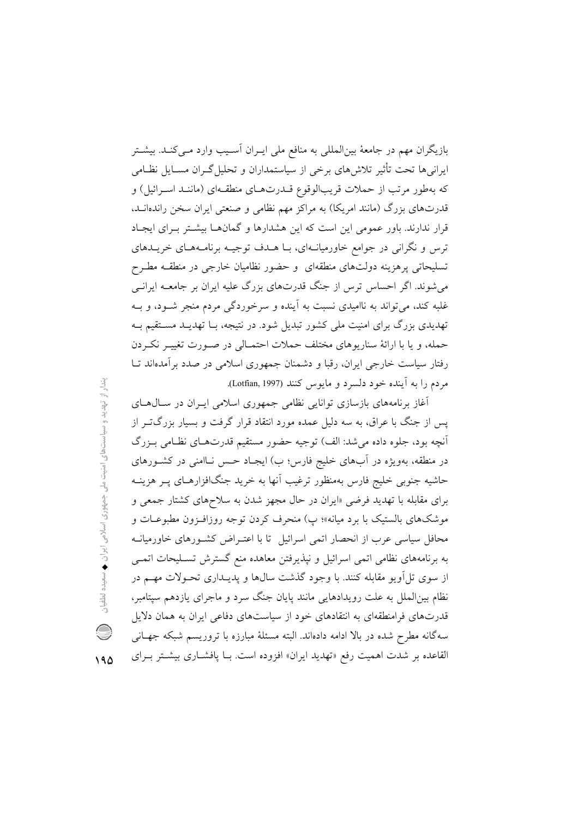بازیگران مهم در جامعهٔ بین|لمللی به منافع ملی ایــران اَســیب وارد مــیکنــد. بیشــتر ایرانی ها تحت تأثیر تلاش های برخی از سیاستمداران و تحلیل گـران مســایل نظــامی که بهطور مرتب از حملات قریبالوقوع قــدرتهــای منطقــهای (ماننــد اســرائیل) و قدرتهای بزرگ (مانند امریکا) به مراکز مهم نظامی و صنعتی ایران سخن راندهانـد. قرار ندارند. باور عمومی این است که این هشدارها و گمانهـا بیشـتر بـرای ایجـاد ترس و نگرانی در جوامع خاورمیانـهای، بـا هـدف توجیـه برنامـههـای خریــدهای تسلیحاتی پرهزینه دولتهای منطقهای و حضور نظامیان خارجی در منطقـه مطـرح می شوند. اگر احساس ترس از جنگ قدرتهای بزرگ علیه ایران بر جامعــه ایرانــی غلبه کند، میتواند به ناامیدی نسبت به آینده و سرخوردگی مردم منجر شــود، و بــه تهدیدی بزرگ برای امنیت ملی کشور تبدیل شود. در نتیجه، بــا تهدیــد مسـتقیم بــه حمله، و يا با ارائهٔ سناريوهاي مختلف حملات احتمـالي در صـورت تغييـر نكـردن رفتار سیاست خارجی ایران، رقبا و دشمنان جمهوری اسلامی در صدد برآمدهاند تـا مردم را به آینده خود دلسرد و مایوس کنند (Lotfian, 1997).

آغاز برنامههای بازسازی توانایی نظامی جمهوری اسلامی ایـران در سـال۵حـای پس از جنگ با عراق، به سه دلیل عمده مورد انتقاد قرار گرفت و بسیار بزرگتــر از أنچه بود، جلوه داده می شد: الف) توجیه حضور مستقیم قدرتهـای نظـامی بـزرگ در منطقه، بهویژه در اَبهای خلیج فارس؛ ب) ایجـاد حـس نــاامنی در کشــورهای حاشیه جنوبی خلیج فارس بهمنظور ترغیب آنها به خرید جنگافزارهـای پـر هزینــه برای مقابله با تهدید فرضی «ایران در حال مجهز شدن به سلاحهای کشتار جمعی و موشکهای بالستیک با برد میانه»؛ پ) منحرف کردن توجه روزافـزون مطبوعـات و محافل سیاسی عرب از انحصار اتمی اسرائیل تا با اعتـراض کشـورهای خاورمیانـه به برنامههای نظامی اتمی اسرائیل و نپذیرفتن معاهده منع گسترش تسـلیحات اتمـی از سوی تل آویو مقابله کنند. با وجود گذشت سال&ا و پدیـداری تحـولات مهـم در نظام بینالملل به علت رویدادهایی مانند پایان جنگ سرد و ماجرای یازدهم سیتامبر، قدرتهای فرامنطقهای به انتقادهای خود از سیاستهای دفاعی ایران به همان دلایل سهگانه مطرح شده در بالا ادامه دادهاند. البته مسئلهٔ مبارزه با تروریسم شبکه جهـانی القاعده بر شدت اهمیت رفع «تهدید ایران» افزوده است. بـا یافشـاری بیشـتر بـرای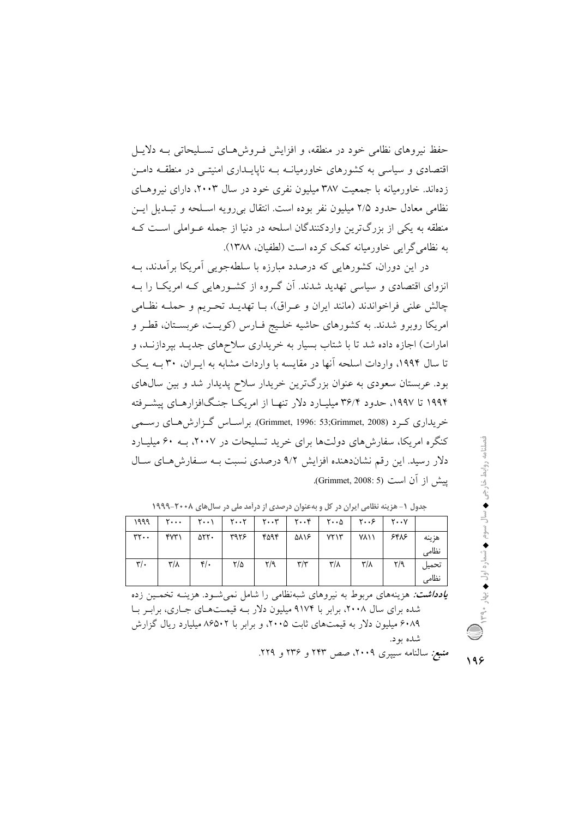حفظ نیروهای نظامی خود در منطقه، و افزایش فـروشهـای تسـلیحاتی بــه دلایـل اقتصادی و سیاسی به کشورهای خاورمیانــه بــه ناپایــداری امنیتــی در منطقــه دامــن زدهاند. خاورمیانه با جمعیت ۳۸۷ میلیون نفری خود در سال ۲۰۰۳، دارای نیروهـای نظامی معادل حدود ۲/۵ میلیون نفر بوده است. انتقال بی رویه اسپلحه و تبیدیل ایس منطقه به یکی از بزرگترین واردکنندگان اسلحه در دنیا از جمله عـواملی اسـت کـه به نظامی گرایی خاورمیانه کمک کرده است (لطفیان، ۱۳۸۸).

در این دوران، کشورهایی که درصدد مبارزه با سلطهجویی آمریکا برآمدند، بـه انزوای اقتصادی و سیاسی تهدید شدند. آن گروه از کشورهایی کـه امریکـا را بـه چالش علني فراخواندند (مانند ايران و عـراق)، بــا تهديــد تحـريم و حملــه نظــامي امریکا روبرو شدند. به کشورهای حاشیه خلیج فیارس (کویت، عربستان، قطر و امارات) اجازه داده شد تا با شتاب بسیار به خریداری سلاحهای جدیـد بیردازنـد، و تا سال ۱۹۹۴، واردات اسلحه آنها در مقایسه با واردات مشابه به ایـران، ۳۰ بـه یـک بود. عربستان سعودی به عنوان بزرگترین خریدار سلاح پدیدار شد و بین سالهای ۱۹۹۴ تا ۱۹۹۷، حدود ۳۶/۴ میلیـارد دلار تنهـا از امریکــا جنـگافزارهــای پیشــرفته خریداری کے د (Grimmet, 1996: 53;Grimmet, 2008). براسیاس گےزارش هیای رسیمی کنگره امریکا، سفارش های دولتها برای خرید تسلیحات در ۲۰۰۷، بـه ۶۰ میلیارد دلار رسید. این رقم نشاندهنده افزایش ۹/۲ درصدی نسبت بـه سـفارش هـای سـال ييش از آن است (Grimmet, 2008: 5).

| ۱۹۹۹            | $\mathbf{Y} \cdots$ | $\mathsf{Y}\cdots\mathsf{Y}$ |      |                         | ۲۰۰۵   ۲۰۰۳   ۲۰۰۴   ۲۰۰۵ |                         |             | $Y \cdot Y$ $Y \cdot Y$ |                |
|-----------------|---------------------|------------------------------|------|-------------------------|---------------------------|-------------------------|-------------|-------------------------|----------------|
| $rr - T$        | ۴۷۳۱                | ۵۲۲۰                         | ۳۹۲۶ | ۴۵۹۴                    | ۵۸۱۶                      | YYY'                    | <b>YA\\</b> | ۶۴۸۶                    | هزينه<br>نظامى |
| $\mathbf{y}'$ . | ۳/۸ $\,$            | $\mathfrak{r}/\mathfrak{r}$  | ۲/۵  | $\mathsf{Y}/\mathsf{Q}$ | $\mathbf{r}/\mathbf{r}$   | $\mathsf{r}/\mathsf{r}$ | ۳/۸         | $\mathbf{Y}/\mathbf{Y}$ | تحميل<br>نظامى |

جدول (- هزینه نظامی ایران در کل و بهعنوان درصدی از درآمد ملی در سال های ۲۰۰۸-۱۹۹۹

**یادد/شت:** هزینههای مربوط به نیروهای شبهنظامی را شامل نمی شود. هزینــه تخمــین زده شده برای سال ۲۰۰۸، برابر با ۹۱۷۴ میلیون دلار بـه قیمـتهـای جـاری، برابـر بـا ۶۰۸۹ میلیون دلار به قیمتهای ثابت ۲۰۰۵، و برابر با ۸۶۵۰۲ میلیارد ریال گزارش شده بود.

*منبع:* سالنامه سیپری ۲۰۰۹، صص ۲۴۳ و ۲۳۶ و ۲۲۹. 198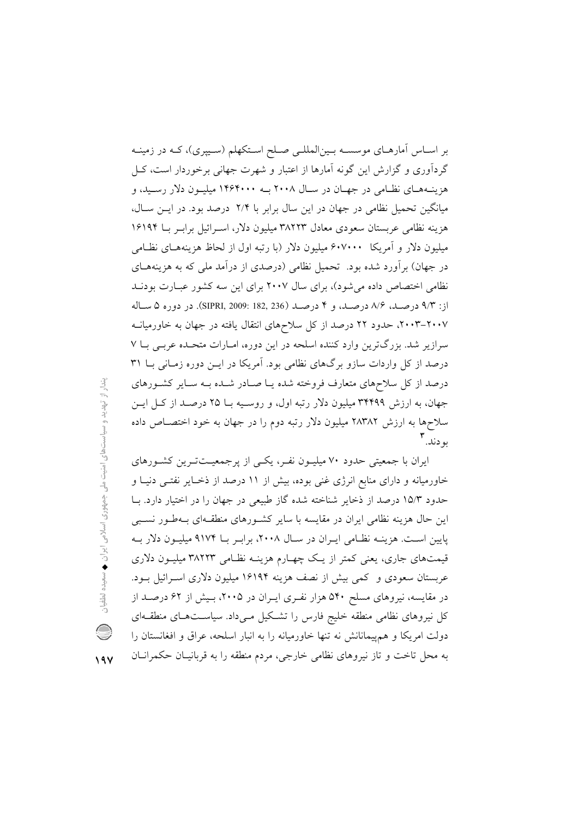بر اسـاس اّمارهـاي موسسـه بـين|لمللـي صـلح اسـتکهلم (سـيپري)، کـه در زمينـه گردآوری و گزارش این گونه آمارها از اعتبار و شهرت جهانی برخوردار است، کـل هزینـههـای نظـامی در جهـان در سـال ۲۰۰۸ بـه ۱۴۶۴۰۰۰ میلیـون دلار رسـید، و میانگین تحمیل نظامی در جهان در این سال برابر با ۲/۴ درصد بود. در ایـن سـال، هزینه نظامی عربستان سعودی معادل ۳۸۲۲۳ میلیون دلار، اسـرائیل برابـر بــا ۱۶۱۹۴ میلیون دلار و آمریکا ۶۰۷۰۰۰ میلیون دلار (با رتبه اول از لحاظ هزینههـای نظـامی در جهان) برآورد شده بود. تحمیل نظامی (درصدی از درآمد ملی که به هزینههـای نظامی اختصاص داده می شود)، برای سال ۲۰۰۷ برای این سه کشور عبـارت بودنـد از: ٩/٣ درصد، ٨/۶ درصد، و ۴ درصد (182, 812, 819 SIPRI, 2009: 182, در دوره ۵ ساله ۲۰۰۷–۲۰۰۳، حدود ۲۲ درصد از کل سلاحهای انتقال یافته در جهان به خاورمیانــه سرازیر شد. بزرگترین وارد کننده اسلحه در این دوره، امـارات متحـده عربـی بـا ۷ درصد از کل واردات سازو برگهای نظامی بود. آمریکا در ایـن دوره زمـانی بـا ۳۱ درصد از کل سلاحهای متعارف فروخته شده یـا صـادر شـده بـه سـایر کشـورهای جهان، به ارزش ۳۴۴۹۹ میلیون دلار رتبه اول، و روسـیه بـا ۲۵ درصـد از کـل ایـن سلاحها به ارزش ۲۸۳۸۲ میلیون دلار رتبه دوم را در جهان به خود اختصـاص داده به دند. ۲

ایران با جمعیتی حدود ۷۰ میلیـون نفـر، یکـی از پرجمعیـتتـرین کشـورهای خاورمیانه و دارای منابع انرژی غنی بوده، بیش از ۱۱ درصد از ذخـایر نفتـی دنیـا و حدود ۱۵/۳ درصد از ذخایر شناخته شده گاز طبیعی در جهان را در اختیار دارد. بـا این حال هزینه نظامی ایران در مقایسه با سایر کشورهای منطقـهای بـهطـور نسـبی پایین است. هزینـه نظـامی ایـران در سـال ۲۰۰۸، برابـر بــا ۹۱۷۴ میلیــون دلار بــه قیمتهای جاری، یعنی کمتر از یک چهـارم هزینــه نظـامی ۳۸۲۲۳ میلیــون دلاری عربستان سعودی و کمی بیش از نصف هزینه ۱۶۱۹۴ میلیون دلاری اسـرائیل بـود. در مقایسه، نیروهای مسلح ۵۴۰ هزار نفـری ایـران در ۲۰۰۵، بـیش از ۶۲ درصـد از کل نیروهای نظامی منطقه خلیج فارس را تشکیل مییداد. سیاستهای منطقهای دولت امریکا و هم پیمانانش نه تنها خاورمیانه را به انبار اسلحه، عراق و افغانستان را به محل تاخت و تاز نیروهای نظامی خارجی، مردم منطقه را به قربانیـان حکمرانـان

بندار از تهدید و سیاستهای امنیت ملی جمهوری اسلامی ایران ♦ سعیده لطفیان

Q

 $19V$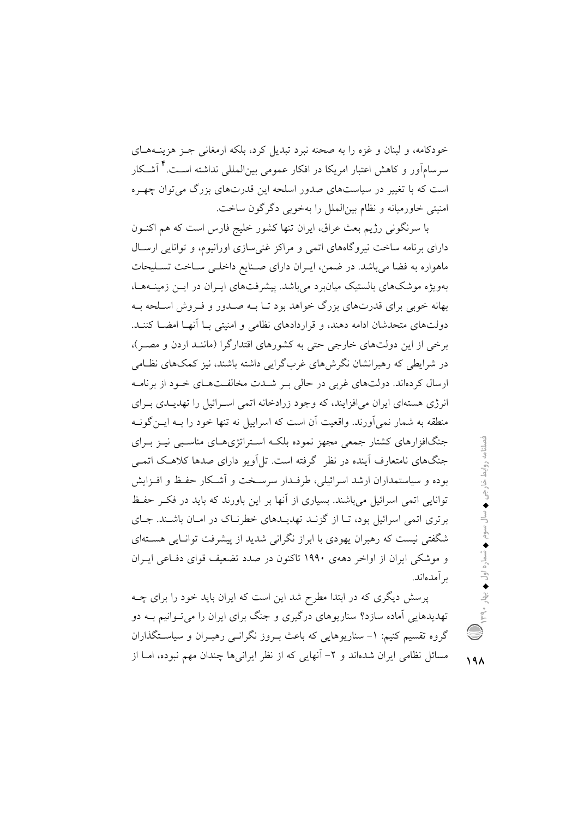خودکامه، و لبنان و غزه را به صحنه نبرد تبدیل کرد، بلکه ارمغانی جـز هزینــههــای سرسامآور و کاهش اعتبار امریکا در افکار عمومی بین|لمللی نداشته اسـت.<sup>۴</sup> آشـکار است که با تغییر در سیاستهای صدور اسلحه این قدرتهای بزرگ میتوان چهـره امنیتی خاورمیانه و نظام بین الملل را بهخوبی دگر گون ساخت.

با سرنگونی رژیم بعث عراق، ایران تنها کشور خلیج فارس است که هم اکنـون دارای برنامه ساخت نیروگاههای اتمی و مراکز غنی سازی اورانیوم، و توانایی ارسال ماهواره به فضا میباشد. در ضمن، ایـران دارای صـنایع داخلـی سـاخت تسـلیحات بهویژه موشکهای بالستیک میانبرد میباشد. پیشرفتهای ایـران در ایـن زمینـههـا، بهانه خوبی برای قدرتهای بزرگ خواهد بود تـا بــه صــدور و فــروش اســلحه بــه دولتهای متحدشان ادامه دهند، و قراردادهای نظامی و امنیتی بـا آنهـا امضــا کننــد. برخی از این دولتهای خارجی حتی به کشورهای اقتدارگرا (ماننـد اردن و مصـر)، در شرایطی که رهبرانشان نگرش های غربگرایی داشته باشند، نیز کمکهای نظامی ارسال کردهاند. دولتهای غربی در حالی بـر شـدت مخالفـتهـای خـود از برنامـه انرژی هستهای ایران می افزایند، که وجود زرادخانه اتمی اسـرائیل را تهدیــدی بــرای منطقه به شمار نمی آورند. واقعیت آن است که اسراییل نه تنها خود را بـه ایــن گونــه جنگافزارهای کشتار جمعی مجهز نموده بلکـه اسـتراتژیهـای مناسـبی نیـز بـرای جنگهای نامتعارف آینده در نظر گرفته است. تل|ویو دارای صدها کلاهک اتمـی بوده و سیاستمداران ارشد اسرائیلی، طرف دار سرسخت و آشکار حفظ و افـزایش توانایی اتمی اسرائیل می باشند. بسیاری از آنها بر این باورند که باید در فک حفظ برتری اتمی اسرائیل بود، تـا از گزنــد تهدیــدهای خطرنــاک در امــان باشــند. جــای شگفتی نیست که رهبران یهودی با ابراز نگرانی شدید از پیشرفت توانـایی هسـتهای و موشکی ایران از اواخر دههی ۱۹۹۰ تاکنون در صدد تضعیف قوای دفیاعی ایران ىر آمدەاند.

پرسش دیگری که در ابتدا مطرح شد این است که ایران باید خود را برای چــه تهدیدهایی آماده سازد؟ سناریوهای درگیری و جنگ برای ایران را میتوانیم بـه دو گروه تقسیم کنیم: ۱- سناریوهایی که باعث بـروز نگرانــی رهبـران و سیاسـتگذاران مسائل نظامی ایران شدهاند و ۲– آنهایی که از نظر ایرانی ها چندان مهم نبوده، امــا از

 $19<sub>A</sub>$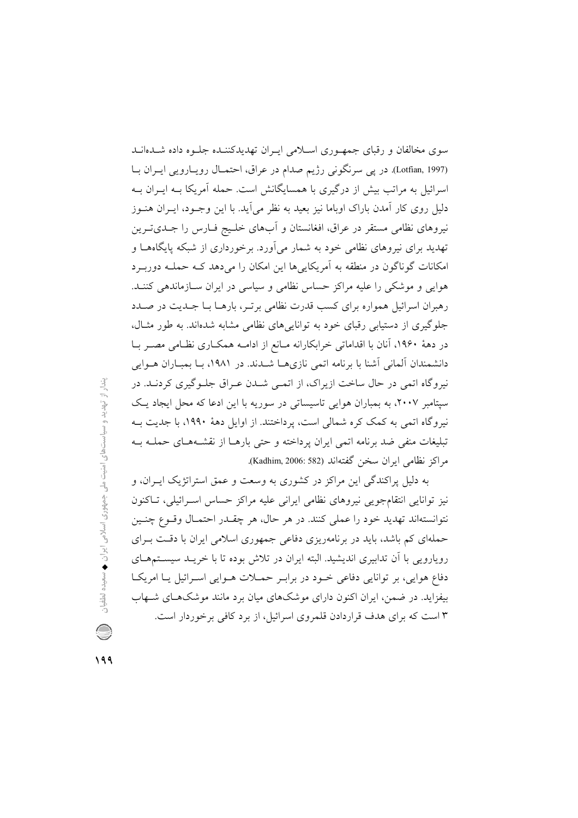سوی مخالفان و رقبای جمهوری اسلامی ایـران تهدیدکننـده جلـوه داده شـدهانـد (Lotfian, 1997). در یی سرنگونی رژیم صدام در عراق، احتمـال رویـارویی ایـران بـا اسرائیل به مراتب بیش از درگیری با همسایگانش است. حمله آمریکا بـه ایــران بــه دلیل روی کار آمدن باراک اوباما نیز بعید به نظر می آید. با این وجـود، ایـران هنــوز نیروهای نظامی مستقر در عراق، افغانستان و آبهای خلـیج فـارس را جـدیتـرین تهدید برای نیروهای نظامی خود به شمار میآورد. برخورداری از شبکه پایگاههـا و امکانات گوناگون در منطقه به آمریکاییها این امکان را میدهد کـه حملـه دوربـرد هوایی و موشکی را علیه مراکز حساس نظامی و سیاسی در ایران سـازماندهی کننـد. رهبران اسرائیل همواره برای کسب قدرت نظامی برتـر، بارهـا بـا جـدیت در صـدد جلوگیری از دستیابی رقبای خود به توانایی های نظامی مشابه شدهاند. به طور مثـال، در دههٔ ۱۹۶۰، آنان با اقداماتی خرابکارانه مـانع از ادامـه همکـاری نظـامی مصـر بـا دانشمندان آلمانی آشنا با برنامه اتمی نازیها شدند. در ۱۹۸۱، بـا بمبـاران هـوایی نیروگاه اتمی در حال ساخت ازیراک، از اتمـی شــدن عـراق جلـوگیری کردنـد. در سپتامبر ۲۰۰۷، به بمباران هوایی تاسیساتی در سوریه با این ادعا که محل ایجاد یک نیروگاه اتمی به کمک کره شمالی است، پرداختند. از اوایل دههٔ ۱۹۹۰، با جدیت بـه تبليغات منفى ضد برنامه اتمى ايران يرداخته و حتى بارهــا از نقشــههــاى حملــه بــه مراكز نظامى ايران سخن گفتهاند (Kadhim, 2006: 582).

به دلیل پراکندگی این مراکز در کشوری به وسعت و عمق استراتژیک ایـران، و نیز توانایی انتقامجویی نیروهای نظامی ایرانی علیه مراکز حساس اسـرائیلی، تـاکنون نتوانستهاند تهديد خود را عملي كنند. در هر حال، هر چقـدر احتمـال وقـوع چنـين حملهای کم باشد، باید در برنامهریزی دفاعی جمهوری اسلامی ایران با دقت بـرای رویارویی با آن تدابیری اندیشید. البته ایران در تلاش بوده تا با خریــد سیســتمهــای دفاع هوایی، بر توانایی دفاعی خـود در برابـر حمـلات هـوایی اسـرائیل یـا امریکـا بیفزاید. در ضمن، ایران اکنون دارای موشکهای میان برد مانند موشکهای شـهاب ۳ است که برای هدف قراردادن قلمروی اسرائیل، از برد کافی برخوردار است.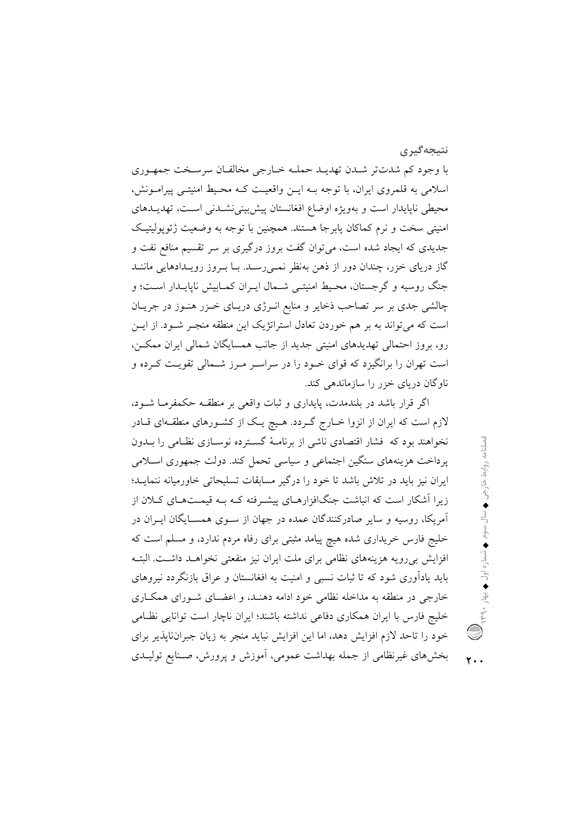نتىجەگىرى

با وجود کم شدتتر شدن تهديـد حملـه خـارجي مخالفـان سرسـخت جمهـوري اسلامی به قلمروی ایران، با توجه بـه ایـن واقعیـت کـه محـیط امنیتـی پیرامـونش، محيطي ناپايدار است و بهويژه اوضاع افغانستان پيش بيني نشــدني اســت، تهديــدهاي امنیتی سخت و نرم کماکان پابرجا هستند. همچنین با توجه به وضعیت ژئوپولیتیک جدیدی که ایجاد شده است، میتوان گفت بروز درگیری بر سر تقسیم منافع نفت و گاز دریای خزر، چندان دور از ذهن بهنظر نمـیرسـد. بـا بـروز رویـدادهایی ماننـد جنگ روسیه و گرجستان، محیط امنیتـی شـمال ایـران کمـابیش ناپایـدار اسـت؛ و چالشی جدی بر سر تصاحب ذخایر و منابع انـرژی دریـای خـزر هنـوز در جریـان است که میتواند به بر هم خوردن تعادل استراتژیک این منطقه منجـر شـود. از ایــن رو، بروز احتمالی تهدیدهای امنیتی جدید از جانب همسایگان شمالی ایران ممکــن، است تهران را برانگیزد که قوای خـود را در سراسـر مـرز شـمالی تقویـت کـرده و ناو گان دریای خزر را سازماندهی کند.

اگر قرار باشد در بلندمدت، پایداری و ثبات واقعی بر منطقـه حکمفرمـا شــود، لازم است که ایران از انزوا خــارج گــردد. هـیچ یــک از کشــورهای منطقــهای قــادر نخواهند بود که فشار اقتصادی ناشی از برنامـهٔ گسـترده نوسـازی نظـامی را بــدون یرداخت هزینههای سنگین اجتماعی و سیاسی تحمل کند. دولت جمهوری اسـلامی ایران نیز باید در تلاش باشد تا خود را درگیر مسابقات تسلیحاتی خاورمیانه ننمایـد؛ زیرا آشکار است که انباشت جنگافزارهـای پیشـرفته کـه بـه قیمـتهـای کـلان از آمریکا، روسیه و سایر صادرکنندگان عمده در جهان از سـوی همسـایگان ایـران در خلیج فارس خریداری شده هیچ پیامد مثبتی برای رفاه مردم ندارد، و مسلم است که افزایش بیرویه هزینههای نظامی برای ملت ایران نیز منفعتی نخواهـد داشـت. البتـه باید یادآوری شود که تا ثبات نسبی و امنیت به افغانستان و عراق بازنگردد نیروهای خارجی در منطقه به مداخله نظامی خود ادامه دهنـد، و اعضـای شـورای همکـاری خلیج فارس با ایران همکاری دفاعی نداشته باشند؛ ایران ناچار است توانایی نظـامی خود را تاحد لازم افزایش دهد، اما این افزایش نباید منجر به زیان جبران ناپذیر برای بخشهای غیرنظامی از جمله بهداشت عمومی، آموزش و پرورش، صـنایع تولیـدی

٢.,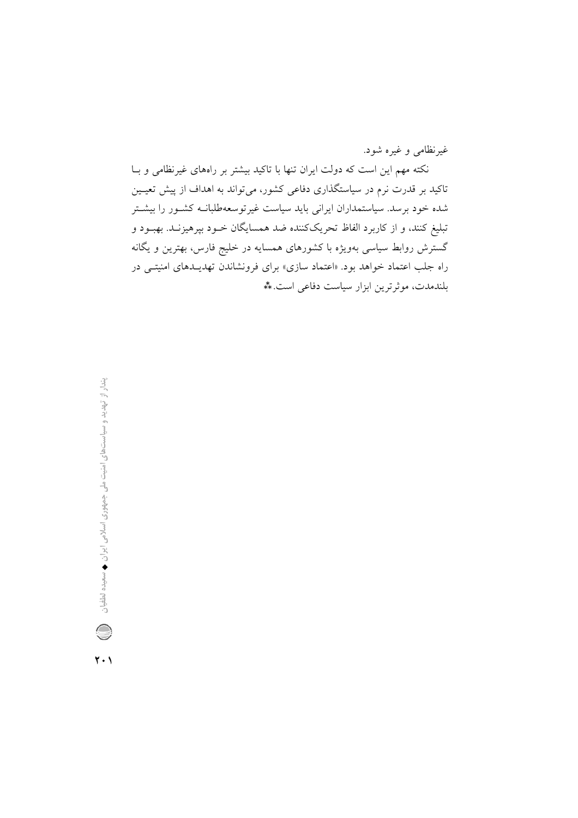غیرنظامی و غیره شود.

نکته مهم این است که دولت ایران تنها با تاکید بیشتر بر راههای غیرنظامی و بــا تاکید بر قدرت نرم در سیاستگذاری دفاعی کشور، میتواند به اهداف از پیش تعیــین شده خود برسد. سیاستمداران ایرانی باید سیاست غیرتوسعهطلبانــه کشــور را بیشــتر تبليغ كنند، و از كاربرد الفاظ تحريككننده ضد همسايگان خــود بپرهيزنــد. بهبــود و گسترش روابط سیاسی بهویژه با کشورهای همسایه در خلیج فارس، بهترین و یگانه راه جلب اعتماد خواهد بود. «اعتماد سازی» برای فرونشاندن تهدیـدهای امنیتـی در بلندمدت، موثرترین ابزار سیاست دفاعی است. \*\*

 $\mathbf{Y} \cdot \mathbf{V}$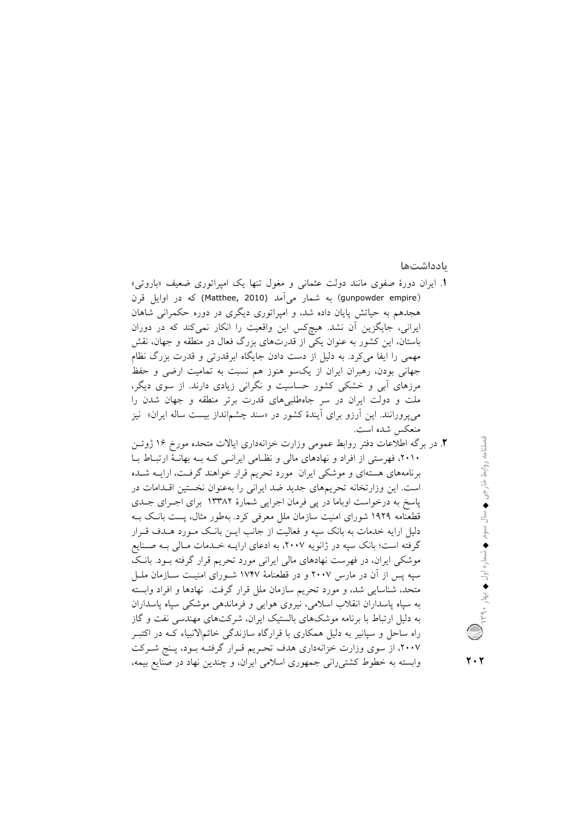بادداشتها

- 1. ایران دورهٔ صفوی مانند دولت عثمانی و مغول تنها یک امپراتوری ضعیف «باروتی» (gunpowder empire) به شمار می اَمد (Matthee, 2010) که در اوایل قرن هجدهم به حیاتش پایان داده شد، و امپراتوری دیگری در دوره حکمرانی شاهان ایرانی، جایگزین آن نشد. هیچکس این واقعیت را انکار نمیکند که در دوران باستان، این کشور به عنوان یکی از قدرتهای بزرگ فعال در منطقه و جهان، نقش مهمی را ایفا میکرد. به دلیل از دست دادن جایگاه ابرقدرتی و قدرت بزرگ نظام جهانی بودن، رهبران ایران از یکسو هنوز هم نسبت به تمامیت ارضی و حفظ مرزهای أبی و خشکی کشور حساسیت و نگرانی زیادی دارند. از سوی دیگر، ملت و دولت ایران در سر جاهطلبیهای قدرت برتر منطقه و جهان شدن را میپرورانند. این آرزو برای آیندهٔ کشور در «سند چشم|نداز بیست ساله ایران» نیز منعكس شده است.
- ۲. در برگه اطلاعات دفتر روابط عمومی وزارت خزانهداری ایالات متحده مورخ ۱۶ ژوئـن ۲۰۱۰، فهرستی از افراد و نهادهای مالی و نظـامی ایرانــی کــه بــه بهانــهٔ ارتبــاط بــا برنامههای هستهای و موشکی ایران مورد تحریم قرار خواهند گرفت، ارایـه شـده است. این وزارتخانه تحریمهای جدید ضد ایرانی را بهعنوان نخستین اقلدامات در پاسخ به درخواست اوباما در پی فرمان اجرایی شمارهٔ ۱۳۳۸۲ برای اجـرای جـدی قطعنامه ۱۹۲۹ شورای امنیت سازمان ملل معرفی کرد. بهطور مثال، پست بانک بـه دلیل ارایه خدمات به بانک سیه و فعالیت از جانب ایــن بانــک مــورد هــدف قــرار گرفته است؛ بانک سپه در ژانویه ۲۰۰۷، به ادعای ارایــه خــدمات مــالی بــه صــنایع موشکی ایران، در فهرست نهادهای مالی ایرانی مورد تحریم قرار گرفته بـود. بانـک سپه پس از آن در مارس ۲۰۰۷ و در قطعنامهٔ ۱۷۴۷ شـورای امنیـت ســازمان ملــل متحد، شناسایی شد، و مورد تحریم سازمان ملل قرار گرفت. نهادها و افراد وابسته به سپاه پاسداران انقلاب اسلامی، نیروی هوایی و فرماندهی موشکی سپاه پاسداران به دلیل ارتباط با برنامه موشکهای بالستیک ایران، شرکتهای مهندسی نفت و گاز راه ساحل و سپانیر به دلیل همکاری با قرارگاه سازندگی خاتمالانبیاء کـه در اکتبـر ۲۰۰۷، از سوی وزارت خزانهداری هدف تحـریم قـرار گرفتـه بـود، پـنج شـرکت وابسته به خطوط کشتیرانی جمهوری اسلامی ایران، و چندین نهاد در صنایع بیمه،
- نصلنامه روابط خارجی ♦ سال سوم ♦ شماره اول ♦ بهار ٩٠و.

 $\mathbf{y} \cdot \mathbf{y}$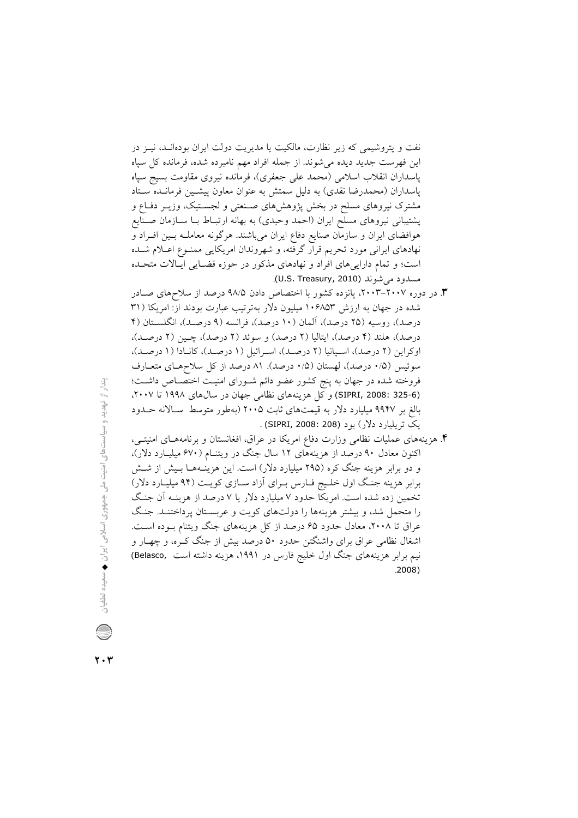نفت و پتروشیمی که زیر نظارت، مالکیت یا مدیریت دولت ایران بودهانـد، نیــز در این فهرست جدید دیده می شوند. از جمله افراد مهم نامبرده شده، فرمانده کل سپاه ياسداران انقلاب اسلامي (محمد على جعفري)، فرمانده نيروي مقاومت بسيج سياه پاسداران (محمدرضا نقدی) به دلیل سمتش به عنوان معاون پیشـین فرمانـده سـتاد مشترک نیروهای مسلح در بخش پژوهشهای صنعتی و لجستیک، وزیـر دفـاع و پشتیبانی نیروهای مسلح ایران (احمد وحیدی) به بهانه ارتبـاط بـا ســازمان صـنایع هوافضای ایران و سازمان صنایع دفاع ایران میباشند. هرگونه معاملـه بـین افـراد و نهادهای ایرانی مورد تحریم قرار گرفته، و شهروندان امریکایی ممنـوع اعــلام شــده است؛ و تمام داراییهای افراد و نهادهای مذکور در حوزه قضـایی ایـالات متحـده مسدود می شوند (U.S. Treasury, 2010).

- ۳. در دوره ۲۰۰۷–۲۰۰۳، پانزده کشور با اختصاص دادن ۹۸/۵ درصد از سلاحهای صـادر شده در جهان به ارزش ۱۰۶۸۵۳ میلیون دلار بهترتیب عبارت بودند از: امریکا (۳۱ درصد)، روسیه (۲۵ درصد)، آلمان (۱۰ درصد)، فرانسه (۹ درصـد)، انگلسـتان (۴ درصد)، هلند (۴ درصد)، ايتاليا (۲ درصد) و سوئد (۲ درصد)، چـين (۲ درصـد)، اوكراين (٢ درصد)، اسـيانيا (٢ درصـد)، اسـرائيل (١ درصـد)، كانـادا (١ درصـد)، سوئيس (١/٥ درصد)، لهستان (١/٥ درصد). ٨١ درصد از كل سلاحهـاي متعـارف فروخته شده در جهان به پنج کشور عضو دائم شــورای امنیــت اختصــاص داشــت؛ (SIPRI, 2008: 325-6) و كل هزينههاي نظامي جهان در سال@اي ١٩٩٨ تا ٢٠٠٧، بالغ بر ۹۹۴۷ میلیارد دلار به قیمتهای ثابت ۲۰۰۵ (بهطور متوسط سـالانه حــدود یک تریلیارد دلار) بود (SIPRI, 2008: 208) .
- ۴. هزینههای عملیات نظامی وزارت دفاع امریکا در عراق، افغانستان و برنامههـای امنیتــی، اکنون معادل ۹۰ درصد از هزینههای ۱۲ سال جنگ در ویتنـام (۶۷۰ میلیــارد دلار)، و دو برابر هزینه جنگ کره (۲۹۵ میلیارد دلار) است. این هزینــههــا بــیش از شــش برابر هزینه جنگ اول خلیج فیارس بـرای آزاد سـازی کویـت (۹۴ میلیـارد دلار) تخمین زده شده است. امریکا حدود ۷ میلیارد دلار یا ۷ درصد از هزینـه آن جنـگ را متحمل شد، و بیشتر هزینهها را دولتهای کویت و عربسـتان پرداختنــد. جنـگ عراق تا ۲۰۰۸، معادل حدود ۶۵ درصد از کل هزینههای جنگ ویتنام بـوده اسـت. اشغال نظامی عراق برای واشنگتن حدود ۵۰ درصد بیش از جنگ کـره، و چهــار و نیم برابر هزینههای جنگ اول خلیج فارس در ۱۹۹۱، هزینه داشته است ,Belasco  $.2008)$

 $\mathbf{Y} \cdot \mathbf{Y}$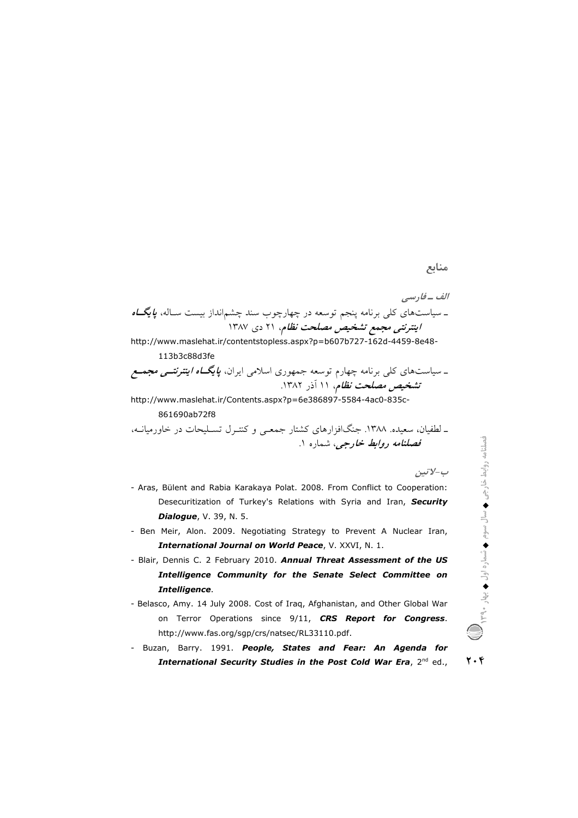## منابع

http://www.maslehat.ir/contentstopless.aspx?p=b607b727-162d-4459-8e48-113b3c88d3fe

http://www.maslehat.ir/Contents.aspx?p=6e386897-5584-4ac0-835c-861690ab72f8

ـ لطفیان، سعیده. ١٣٨٨. جنگافزارهای کشتار جمعـی و کنتـرل تسـلیحات در خاورمیانـه، قصلن*امه روابط خارجي، شم*اره ۱.

ب-لاتين

- Aras, Bülent and Rabia Karakaya Polat. 2008. From Conflict to Cooperation: Desecuritization of Turkey's Relations with Syria and Iran, Security **Dialogue**, V. 39, N. 5.
- Ben Meir, Alon. 2009. Negotiating Strategy to Prevent A Nuclear Iran, International Journal on World Peace, V. XXVI, N. 1.
- Blair, Dennis C. 2 February 2010. Annual Threat Assessment of the US Intelligence Community for the Senate Select Committee on Intelligence.
- Belasco, Amy. 14 July 2008. Cost of Iraq, Afghanistan, and Other Global War on Terror Operations since 9/11, CRS Report for Congress. http://www.fas.org/sgp/crs/natsec/RL33110.pdf.
- Buzan, Barry. 1991. People, States and Fear: An Agenda for  $\mathbf{y} \cdot \mathbf{y}$ International Security Studies in the Post Cold War Era, 2nd ed.,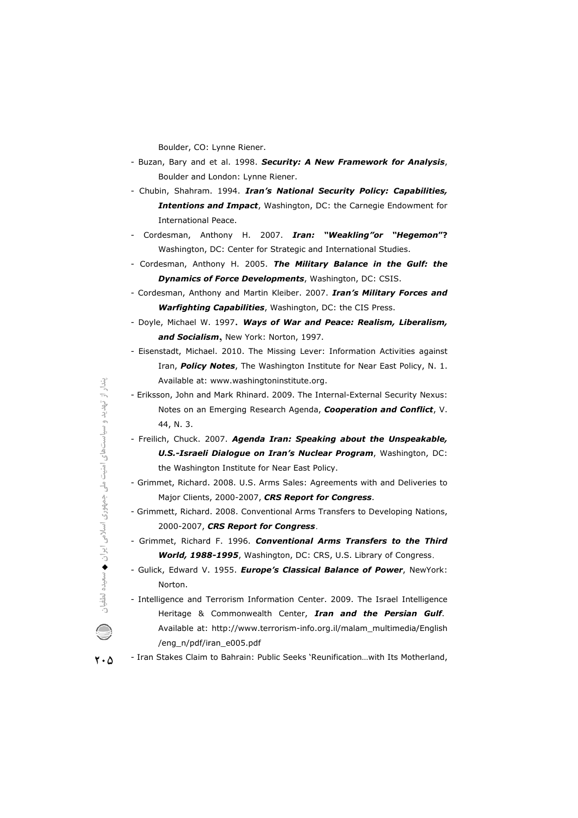Boulder, CO: Lynne Riener.

- Buzan, Bary and et al. 1998. *Security: A New Framework for Analysis nalysis*, Boulder and London: Lynne Riener.
- Chubin, Shahram. 1994. *Iran's National Security Policy: Capabilities,* **Intentions and Impact**, Washington, DC: the Carnegie Endowment for International Peace.
- Cordesman, Anthony H. nthony 2007. *Iran: "Weakling"or "Hegemon emon***"?** Washington, DC: Center for Strategic and International Stud Studies.
- Cordesman, Anthony H. 2005. **The Military Balance in the Gulf: the Dynamics of Force Developments**, Washington, DC: CSIS.
- Cordesman, Anthony and Martin Kleiber. 2007. *Iran's Military Forces and Warfighting Capabilities*, Washington, DC: the CIS Press. *ulf: the<br>ces and<br>eralism,*
- Doyle, Michael W. . <sup>1997</sup>. *Ways of War and Peace: Realism, Liberalism, and Socialism*,New York: Norton, 1997.
- Eisenstadt, Michael. 2010. The Missing Lever: Information Activities against Iran, Policy Notes, The Washington Institute for Near East Policy, N. 1. Available at: www.washingtoninstitute.org.
- Eriksson, John and Mark Rhinard. 2009. The Internal-External Security Nexus: Notes on an Emerging Research Agenda, *Cooperation and Conflict flict*, V. 44, N. 3.
- Freilich, Chuck. 2 2007. *Agenda Iran: Speaking about the Unspeakable, akable, U.S.-Israeli Dialogue on Iran's Nuclear Program* , Washington, DC: the Washington Institute for Near East Policy. U.S.-Israeli Dialogue on Iran's Nuclear Program, Washington, DC:<br>the Washington Institute for Near East Policy.<br>Grimmet, Richard. 2008. U.S. Arms Sales: Agreements with and Deliveries to
- Major Clients, 2000-2007, CRS Report for Congress.
- Grimmett, Richard. 2008. Conventional Arms Transfers to Developing Nations, 2000-2007, *C CRS Report for Congress*.
- Grimmet, Richard F. 1996. **Conventional Arms Transfers to the Third** World, 1988-1995, Washington, DC: CRS, U.S. Library of Congress.
- Gulick, Edward V. 1955. *Europe's Classical Balance of Power*, NewYork: Norton. ewYork:<br>elligence<br>**.** *Gulf*.
- Intelligence and Terrorism Information Center. 2009. The Israel Intelligence Heritage & Commonwealth Center, *Iran and the Persian Gulf* Available at: http://www.terrorism-info.org.il/malam\_multimedia/English /eng\_n/pdf/iran\_e005.pdf Available at: http://www.terrorism-info.org.il/malam\_multimedia/English<br>eng\_n/pdf/iran\_e005.pdf/<br>- Iran Stakes Claim to Bahrain: Public Seeks `Reunification...with Its Motherland,
- $\mathbf{Y} \cdot \mathbf{Q}$
-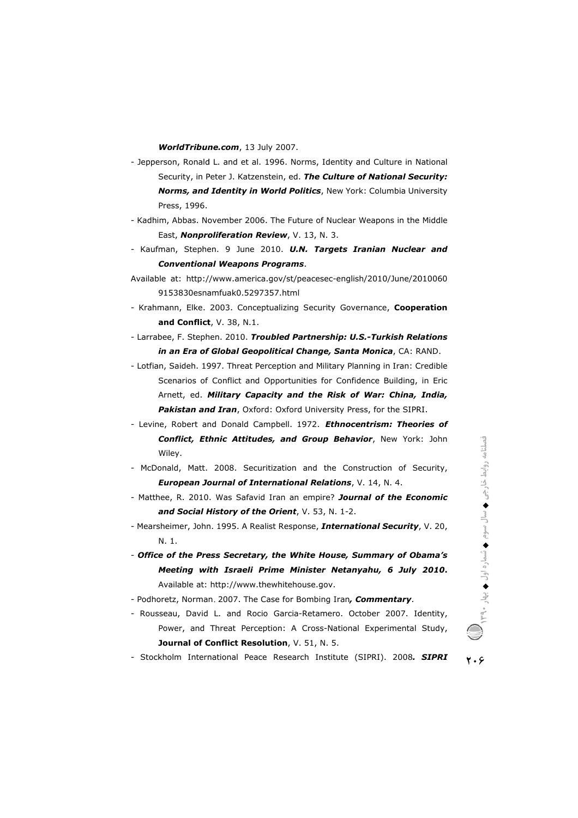**WorldTribune.com**, 13 July 2007.

- Jepperson, Ronald L. and et al. 1996. Norms, Identity and Culture in National Security, in Peter J. Katzenstein, ed. *The Culture of National Security: ecurity:* **Norms, and Identity in World Politics**, New York: Columbia University Press, 1996. Norms, and Identity in World Politics, New York: Columbia University<br>Press, 1996.<br>Kadhim, Abbas. November 2006. The Future of Nuclear Weapons in the Middle
- East, *Nonproliferation Review*, V. 13, N. 3.
- Kaufman, Stephen. 9 June 2010. **U.N. Targets Iranian Nuclear and** *Conventional Weapons Programs.*
- Available at: http://www.america.gov/st/peacesec-english/2010/June/2010060 9153830esnamfuak amfuak0.5297357.html
- Krahmann, Elke. 2003. Conceptualizing Security Governance, **Cooperation eration and Conflict t**, V. 38, N.1.
- Larrabee, F. Stephen. 2010. *Troubled Partnership: U.S.-Turkish Relations in an Era of Global Geopolitical Change, Santa Monica f* , CA: RAND.
- Lotfian, Saideh. 1997. Threat Perception and Military Planning in Iran: Credible Scenarios of Conflict and Opportunities for Con Confidence Building, in Eric Arnett, ed. *M Military Capacity and the Risk of War: China, India,*  Pakistan and Iran, Oxford: Oxford University Press, for the SIPRI.
- Levine, Robert and Donald Campbell. 1972. *Ethnocentrism: Theories of* **Conflict, Ethnic Attitudes, and Group Behavior**, New York: John<br>Wiley.<br>onald, Matt. 2008. Securitization and the Construction of Security, Wiley.
- McDonald, Matt. 2008. Securitization and the Construction of Security, **European Journal of International Relations, V. 14, N. 4.**
- Matthee, R. 2010. Was Safavid Iran an empire? Journal of the Economic *and Social H History of the Orient*, V. 53, N. 1-2. - Matthee, R. 2010. Was Safavid Iran an empire? **Journal of the Economic<br><b>and Social History of the Orient**, V. 53, N. 1-2.<br>- Mearsheimer, John. 1995. A Realist Response, **International Security**, V. 20,
- N. 1.
- *Office of the Press Secretary, the White House, Summary of Obama's Meeting with Israeli Prime Minister Netanyahu ess ith Netanyahu, <sup>6</sup> July bama's 2010***.** Available at: http://www.thewhitehouse.gov.
- Podhoretz, Norman <sup>n</sup>. 2007. The Case for Bombing Iran*, Commentary*.
- Rousseau, David L. and Rocio Garcia-Retamero. October 2007. Identity, Power, and Threat Perception: A Cross-National Experimental Study, **Journal of C Conflict Resolution**, V. 51, N. 5.

کار<br>رن<sup>4</sup> فصلنامه <sub>رو</sub>ابط **→ لسال سوم** شماره اول  $\frac{1}{2}$ **1390**